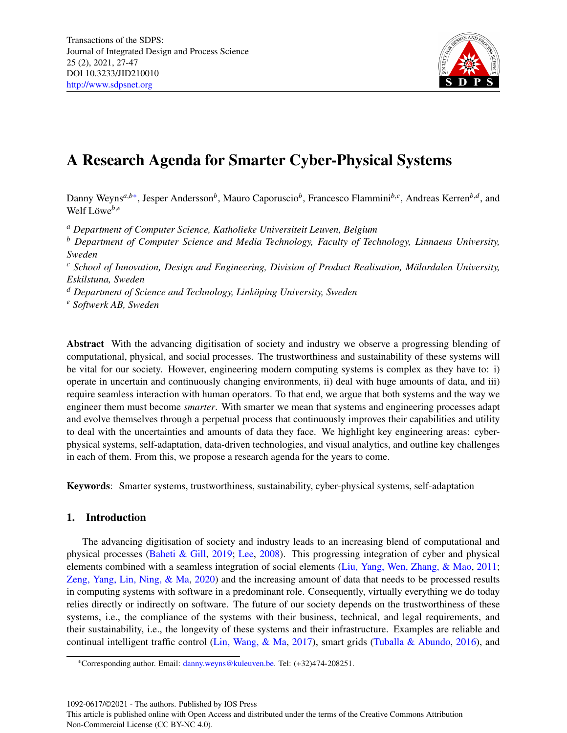

# A Research Agenda for Smarter Cyber-Physical Systems

Danny Weyns<sup>a,b[\\*](#page-0-0)</sup>, Jesper Andersson<sup>b</sup>, Mauro Caporuscio<sup>b</sup>, Francesco Flammini<sup>b,c</sup>, Andreas Kerren<sup>b,d</sup>, and Welf Löwe<sup>b,e</sup>

*<sup>a</sup> Department of Computer Science, Katholieke Universiteit Leuven, Belgium*

*<sup>b</sup> Department of Computer Science and Media Technology, Faculty of Technology, Linnaeus University, Sweden*

*<sup>c</sup> School of Innovation, Design and Engineering, Division of Product Realisation, Malardalen University, ¨ Eskilstuna, Sweden*

*<sup>d</sup> Department of Science and Technology, Linkoping University, Sweden ¨*

*<sup>e</sup> Softwerk AB, Sweden*

Abstract With the advancing digitisation of society and industry we observe a progressing blending of computational, physical, and social processes. The trustworthiness and sustainability of these systems will be vital for our society. However, engineering modern computing systems is complex as they have to: i) operate in uncertain and continuously changing environments, ii) deal with huge amounts of data, and iii) require seamless interaction with human operators. To that end, we argue that both systems and the way we engineer them must become *smarter*. With smarter we mean that systems and engineering processes adapt and evolve themselves through a perpetual process that continuously improves their capabilities and utility to deal with the uncertainties and amounts of data they face. We highlight key engineering areas: cyberphysical systems, self-adaptation, data-driven technologies, and visual analytics, and outline key challenges in each of them. From this, we propose a research agenda for the years to come.

Keywords: Smarter systems, trustworthiness, sustainability, cyber-physical systems, self-adaptation

## 1. Introduction

The advancing digitisation of society and industry leads to an increasing blend of computational and physical processes [\(Baheti & Gill,](#page-16-0) [2019;](#page-16-0) [Lee,](#page-18-0) [2008\)](#page-18-0). This progressing integration of cyber and physical elements combined with a seamless integration of social elements [\(Liu, Yang, Wen, Zhang, & Mao,](#page-18-1) [2011;](#page-18-1) [Zeng, Yang, Lin, Ning, & Ma,](#page-19-0) [2020\)](#page-19-0) and the increasing amount of data that needs to be processed results in computing systems with software in a predominant role. Consequently, virtually everything we do today relies directly or indirectly on software. The future of our society depends on the trustworthiness of these systems, i.e., the compliance of the systems with their business, technical, and legal requirements, and their sustainability, i.e., the longevity of these systems and their infrastructure. Examples are reliable and continual intelligent traffic control [\(Lin, Wang, & Ma,](#page-18-2) [2017\)](#page-18-2), smart grids [\(Tuballa & Abundo,](#page-19-1) [2016\)](#page-19-1), and

1092-0617/©2021 - The authors. Published by IOS Press

<span id="page-0-0"></span><sup>\*</sup>Corresponding author. Email: [danny.weyns@kuleuven.be.](mailto: danny.weyns@kuleuven.be) Tel: (+32)474-208251.

This article is published online with Open Access and distributed under the terms of the Creative Commons Attribution Non-Commercial License (CC BY-NC 4.0).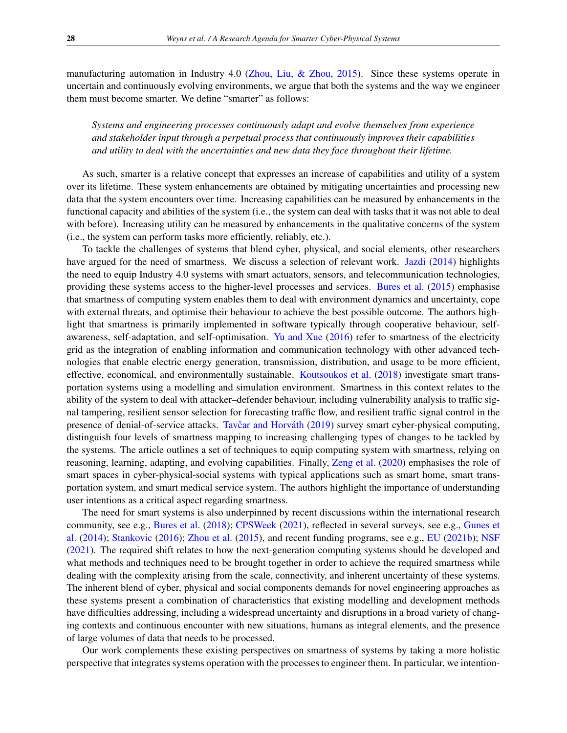manufacturing automation in Industry 4.0 [\(Zhou, Liu, & Zhou,](#page-19-2) [2015\)](#page-19-2). Since these systems operate in uncertain and continuously evolving environments, we argue that both the systems and the way we engineer them must become smarter. We define "smarter" as follows:

*Systems and engineering processes continuously adapt and evolve themselves from experience and stakeholder input through a perpetual process that continuously improves their capabilities and utility to deal with the uncertainties and new data they face throughout their lifetime.*

As such, smarter is a relative concept that expresses an increase of capabilities and utility of a system over its lifetime. These system enhancements are obtained by mitigating uncertainties and processing new data that the system encounters over time. Increasing capabilities can be measured by enhancements in the functional capacity and abilities of the system (i.e., the system can deal with tasks that it was not able to deal with before). Increasing utility can be measured by enhancements in the qualitative concerns of the system (i.e., the system can perform tasks more efficiently, reliably, etc.).

To tackle the challenges of systems that blend cyber, physical, and social elements, other researchers have argued for the need of smartness. We discuss a selection of relevant work. [Jazdi](#page-17-0) [\(2014\)](#page-17-0) highlights the need to equip Industry 4.0 systems with smart actuators, sensors, and telecommunication technologies, providing these systems access to the higher-level processes and services. [Bures et al.](#page-16-1) [\(2015\)](#page-16-1) emphasise that smartness of computing system enables them to deal with environment dynamics and uncertainty, cope with external threats, and optimise their behaviour to achieve the best possible outcome. The authors highlight that smartness is primarily implemented in software typically through cooperative behaviour, selfawareness, self-adaptation, and self-optimisation. [Yu and Xue](#page-19-3) [\(2016\)](#page-19-3) refer to smartness of the electricity grid as the integration of enabling information and communication technology with other advanced technologies that enable electric energy generation, transmission, distribution, and usage to be more efficient, effective, economical, and environmentally sustainable. [Koutsoukos et al.](#page-18-3) [\(2018\)](#page-18-3) investigate smart transportation systems using a modelling and simulation environment. Smartness in this context relates to the ability of the system to deal with attacker–defender behaviour, including vulnerability analysis to traffic signal tampering, resilient sensor selection for forecasting traffic flow, and resilient traffic signal control in the presence of denial-of-service attacks. Tavčar and Horváth [\(2019\)](#page-19-4) survey smart cyber-physical computing, distinguish four levels of smartness mapping to increasing challenging types of changes to be tackled by the systems. The article outlines a set of techniques to equip computing system with smartness, relying on reasoning, learning, adapting, and evolving capabilities. Finally, [Zeng et al.](#page-19-0) [\(2020\)](#page-19-0) emphasises the role of smart spaces in cyber-physical-social systems with typical applications such as smart home, smart transportation system, and smart medical service system. The authors highlight the importance of understanding user intentions as a critical aspect regarding smartness.

The need for smart systems is also underpinned by recent discussions within the international research community, see e.g., [Bures et al.](#page-16-2) [\(2018\)](#page-16-2); [CPSWeek](#page-17-1) [\(2021\)](#page-17-1), reflected in several surveys, see e.g., [Gunes et](#page-17-2) [al.](#page-17-2) [\(2014\)](#page-17-2); [Stankovic](#page-19-5) [\(2016\)](#page-19-5); [Zhou et al.](#page-19-2) [\(2015\)](#page-19-2), and recent funding programs, see e.g., [EU](#page-17-3) [\(2021b\)](#page-17-3); [NSF](#page-18-4) [\(2021\)](#page-18-4). The required shift relates to how the next-generation computing systems should be developed and what methods and techniques need to be brought together in order to achieve the required smartness while dealing with the complexity arising from the scale, connectivity, and inherent uncertainty of these systems. The inherent blend of cyber, physical and social components demands for novel engineering approaches as these systems present a combination of characteristics that existing modelling and development methods have difficulties addressing, including a widespread uncertainty and disruptions in a broad variety of changing contexts and continuous encounter with new situations, humans as integral elements, and the presence of large volumes of data that needs to be processed.

Our work complements these existing perspectives on smartness of systems by taking a more holistic perspective that integrates systems operation with the processes to engineer them. In particular, we intention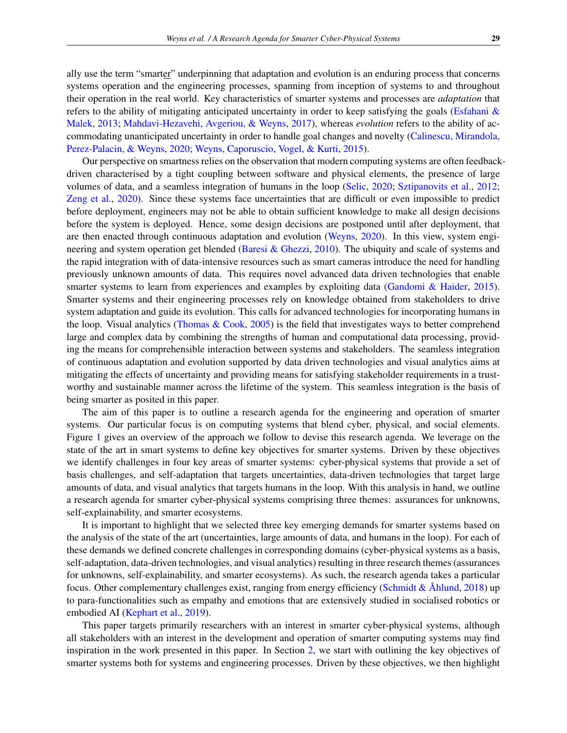ally use the term "smarter" underpinning that adaptation and evolution is an enduring process that concerns systems operation and the engineering processes, spanning from inception of systems to and throughout their operation in the real world. Key characteristics of smarter systems and processes are *adaptation* that refers to the ability of mitigating anticipated uncertainty in order to keep satisfying the goals [\(Esfahani &](#page-17-4) [Malek,](#page-17-4) [2013;](#page-17-4) [Mahdavi-Hezavehi, Avgeriou, & Weyns,](#page-18-5) [2017\)](#page-18-5), whereas *evolution* refers to the ability of accommodating unanticipated uncertainty in order to handle goal changes and novelty [\(Calinescu, Mirandola,](#page-16-3) [Perez-Palacin, & Weyns,](#page-16-3) [2020;](#page-16-3) [Weyns, Caporuscio, Vogel, & Kurti,](#page-19-6) [2015\)](#page-19-6).

Our perspective on smartness relies on the observation that modern computing systems are often feedbackdriven characterised by a tight coupling between software and physical elements, the presence of large volumes of data, and a seamless integration of humans in the loop [\(Selic,](#page-19-7) [2020;](#page-19-7) [Sztipanovits et al.,](#page-19-8) [2012;](#page-19-8) [Zeng et al.,](#page-19-0) [2020\)](#page-19-0). Since these systems face uncertainties that are difficult or even impossible to predict before deployment, engineers may not be able to obtain sufficient knowledge to make all design decisions before the system is deployed. Hence, some design decisions are postponed until after deployment, that are then enacted through continuous adaptation and evolution [\(Weyns,](#page-19-9) [2020\)](#page-19-9). In this view, system engineering and system operation get blended [\(Baresi & Ghezzi,](#page-16-4) [2010\)](#page-16-4). The ubiquity and scale of systems and the rapid integration with of data-intensive resources such as smart cameras introduce the need for handling previously unknown amounts of data. This requires novel advanced data driven technologies that enable smarter systems to learn from experiences and examples by exploiting data [\(Gandomi & Haider,](#page-17-5) [2015\)](#page-17-5). Smarter systems and their engineering processes rely on knowledge obtained from stakeholders to drive system adaptation and guide its evolution. This calls for advanced technologies for incorporating humans in the loop. Visual analytics [\(Thomas & Cook,](#page-19-10) [2005\)](#page-19-10) is the field that investigates ways to better comprehend large and complex data by combining the strengths of human and computational data processing, providing the means for comprehensible interaction between systems and stakeholders. The seamless integration of continuous adaptation and evolution supported by data driven technologies and visual analytics aims at mitigating the effects of uncertainty and providing means for satisfying stakeholder requirements in a trustworthy and sustainable manner across the lifetime of the system. This seamless integration is the basis of being smarter as posited in this paper.

The aim of this paper is to outline a research agenda for the engineering and operation of smarter systems. Our particular focus is on computing systems that blend cyber, physical, and social elements. Figure [1](#page-3-0) gives an overview of the approach we follow to devise this research agenda. We leverage on the state of the art in smart systems to define key objectives for smarter systems. Driven by these objectives we identify challenges in four key areas of smarter systems: cyber-physical systems that provide a set of basis challenges, and self-adaptation that targets uncertainties, data-driven technologies that target large amounts of data, and visual analytics that targets humans in the loop. With this analysis in hand, we outline a research agenda for smarter cyber-physical systems comprising three themes: assurances for unknowns, self-explainability, and smarter ecosystems.

It is important to highlight that we selected three key emerging demands for smarter systems based on the analysis of the state of the art (uncertainties, large amounts of data, and humans in the loop). For each of these demands we defined concrete challenges in corresponding domains (cyber-physical systems as a basis, self-adaptation, data-driven technologies, and visual analytics) resulting in three research themes (assurances for unknowns, self-explainability, and smarter ecosystems). As such, the research agenda takes a particular focus. Other complementary challenges exist, ranging from energy efficiency [\(Schmidt &](#page-18-6)  $\AA$ hlund, [2018\)](#page-18-6) up to para-functionalities such as empathy and emotions that are extensively studied in socialised robotics or embodied AI [\(Kephart et al.,](#page-17-6) [2019\)](#page-17-6).

This paper targets primarily researchers with an interest in smarter cyber-physical systems, although all stakeholders with an interest in the development and operation of smarter computing systems may find inspiration in the work presented in this paper. In Section [2,](#page-3-1) we start with outlining the key objectives of smarter systems both for systems and engineering processes. Driven by these objectives, we then highlight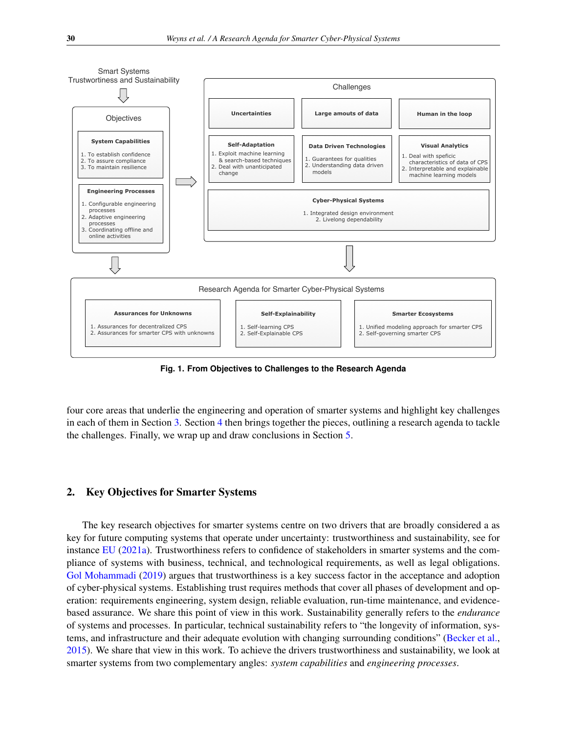<span id="page-3-0"></span>

**Fig. 1. From Objectives to Challenges to the Research Agenda**

four core areas that underlie the engineering and operation of smarter systems and highlight key challenges in each of them in Section [3.](#page-6-0) Section [4](#page-12-0) then brings together the pieces, outlining a research agenda to tackle the challenges. Finally, we wrap up and draw conclusions in Section [5.](#page-15-0)

## <span id="page-3-1"></span>2. Key Objectives for Smarter Systems

The key research objectives for smarter systems centre on two drivers that are broadly considered a as key for future computing systems that operate under uncertainty: trustworthiness and sustainability, see for instance [EU](#page-17-7) [\(2021a\)](#page-17-7). Trustworthiness refers to confidence of stakeholders in smarter systems and the compliance of systems with business, technical, and technological requirements, as well as legal obligations. [Gol Mohammadi](#page-17-8) [\(2019\)](#page-17-8) argues that trustworthiness is a key success factor in the acceptance and adoption of cyber-physical systems. Establishing trust requires methods that cover all phases of development and operation: requirements engineering, system design, reliable evaluation, run-time maintenance, and evidencebased assurance. We share this point of view in this work. Sustainability generally refers to the *endurance* of systems and processes. In particular, technical sustainability refers to "the longevity of information, systems, and infrastructure and their adequate evolution with changing surrounding conditions" [\(Becker et al.,](#page-16-5) [2015\)](#page-16-5). We share that view in this work. To achieve the drivers trustworthiness and sustainability, we look at smarter systems from two complementary angles: *system capabilities* and *engineering processes*.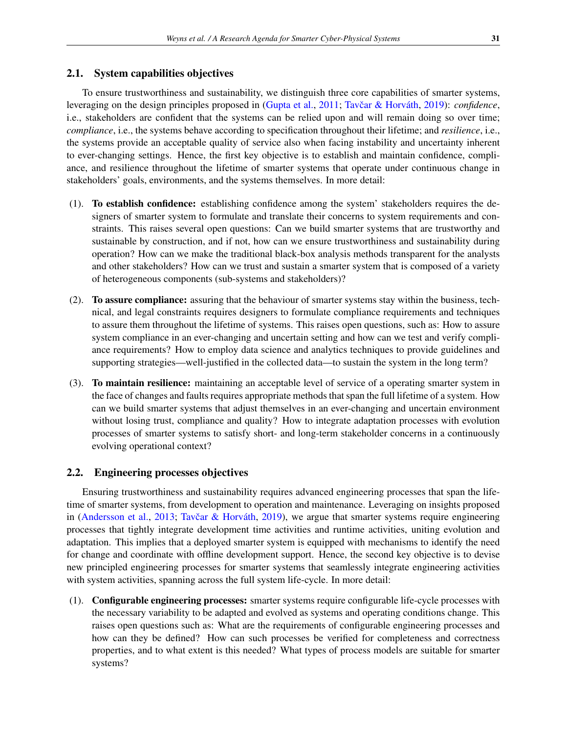## 2.1. System capabilities objectives

To ensure trustworthiness and sustainability, we distinguish three core capabilities of smarter systems, leveraging on the design principles proposed in [\(Gupta et al.,](#page-17-9) [2011;](#page-17-9) Tavčar & Horváth, [2019\)](#page-19-4): *confidence*, i.e., stakeholders are confident that the systems can be relied upon and will remain doing so over time; *compliance*, i.e., the systems behave according to specification throughout their lifetime; and *resilience*, i.e., the systems provide an acceptable quality of service also when facing instability and uncertainty inherent to ever-changing settings. Hence, the first key objective is to establish and maintain confidence, compliance, and resilience throughout the lifetime of smarter systems that operate under continuous change in stakeholders' goals, environments, and the systems themselves. In more detail:

- (1). To establish confidence: establishing confidence among the system' stakeholders requires the designers of smarter system to formulate and translate their concerns to system requirements and constraints. This raises several open questions: Can we build smarter systems that are trustworthy and sustainable by construction, and if not, how can we ensure trustworthiness and sustainability during operation? How can we make the traditional black-box analysis methods transparent for the analysts and other stakeholders? How can we trust and sustain a smarter system that is composed of a variety of heterogeneous components (sub-systems and stakeholders)?
- (2). To assure compliance: assuring that the behaviour of smarter systems stay within the business, technical, and legal constraints requires designers to formulate compliance requirements and techniques to assure them throughout the lifetime of systems. This raises open questions, such as: How to assure system compliance in an ever-changing and uncertain setting and how can we test and verify compliance requirements? How to employ data science and analytics techniques to provide guidelines and supporting strategies—well-justified in the collected data—to sustain the system in the long term?
- (3). To maintain resilience: maintaining an acceptable level of service of a operating smarter system in the face of changes and faults requires appropriate methods that span the full lifetime of a system. How can we build smarter systems that adjust themselves in an ever-changing and uncertain environment without losing trust, compliance and quality? How to integrate adaptation processes with evolution processes of smarter systems to satisfy short- and long-term stakeholder concerns in a continuously evolving operational context?

## 2.2. Engineering processes objectives

Ensuring trustworthiness and sustainability requires advanced engineering processes that span the lifetime of smarter systems, from development to operation and maintenance. Leveraging on insights proposed in [\(Andersson et al.,](#page-15-1) [2013;](#page-15-1) Tavčar & Horváth, [2019\)](#page-19-4), we argue that smarter systems require engineering processes that tightly integrate development time activities and runtime activities, uniting evolution and adaptation. This implies that a deployed smarter system is equipped with mechanisms to identify the need for change and coordinate with offline development support. Hence, the second key objective is to devise new principled engineering processes for smarter systems that seamlessly integrate engineering activities with system activities, spanning across the full system life-cycle. In more detail:

(1). Configurable engineering processes: smarter systems require configurable life-cycle processes with the necessary variability to be adapted and evolved as systems and operating conditions change. This raises open questions such as: What are the requirements of configurable engineering processes and how can they be defined? How can such processes be verified for completeness and correctness properties, and to what extent is this needed? What types of process models are suitable for smarter systems?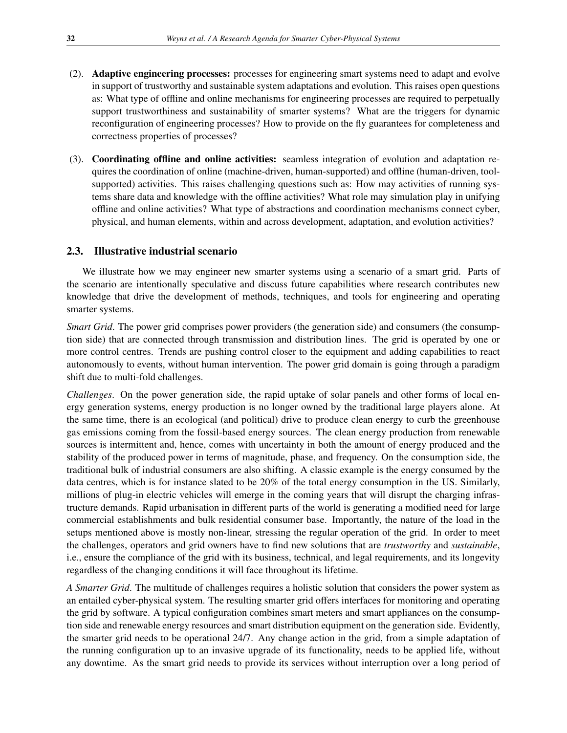- (2). Adaptive engineering processes: processes for engineering smart systems need to adapt and evolve in support of trustworthy and sustainable system adaptations and evolution. This raises open questions as: What type of offline and online mechanisms for engineering processes are required to perpetually support trustworthiness and sustainability of smarter systems? What are the triggers for dynamic reconfiguration of engineering processes? How to provide on the fly guarantees for completeness and correctness properties of processes?
- (3). Coordinating offline and online activities: seamless integration of evolution and adaptation requires the coordination of online (machine-driven, human-supported) and offline (human-driven, toolsupported) activities. This raises challenging questions such as: How may activities of running systems share data and knowledge with the offline activities? What role may simulation play in unifying offline and online activities? What type of abstractions and coordination mechanisms connect cyber, physical, and human elements, within and across development, adaptation, and evolution activities?

## 2.3. Illustrative industrial scenario

We illustrate how we may engineer new smarter systems using a scenario of a smart grid. Parts of the scenario are intentionally speculative and discuss future capabilities where research contributes new knowledge that drive the development of methods, techniques, and tools for engineering and operating smarter systems.

*Smart Grid.* The power grid comprises power providers (the generation side) and consumers (the consumption side) that are connected through transmission and distribution lines. The grid is operated by one or more control centres. Trends are pushing control closer to the equipment and adding capabilities to react autonomously to events, without human intervention. The power grid domain is going through a paradigm shift due to multi-fold challenges.

*Challenges*. On the power generation side, the rapid uptake of solar panels and other forms of local energy generation systems, energy production is no longer owned by the traditional large players alone. At the same time, there is an ecological (and political) drive to produce clean energy to curb the greenhouse gas emissions coming from the fossil-based energy sources. The clean energy production from renewable sources is intermittent and, hence, comes with uncertainty in both the amount of energy produced and the stability of the produced power in terms of magnitude, phase, and frequency. On the consumption side, the traditional bulk of industrial consumers are also shifting. A classic example is the energy consumed by the data centres, which is for instance slated to be 20% of the total energy consumption in the US. Similarly, millions of plug-in electric vehicles will emerge in the coming years that will disrupt the charging infrastructure demands. Rapid urbanisation in different parts of the world is generating a modified need for large commercial establishments and bulk residential consumer base. Importantly, the nature of the load in the setups mentioned above is mostly non-linear, stressing the regular operation of the grid. In order to meet the challenges, operators and grid owners have to find new solutions that are *trustworthy* and *sustainable*, i.e., ensure the compliance of the grid with its business, technical, and legal requirements, and its longevity regardless of the changing conditions it will face throughout its lifetime.

*A Smarter Grid*. The multitude of challenges requires a holistic solution that considers the power system as an entailed cyber-physical system. The resulting smarter grid offers interfaces for monitoring and operating the grid by software. A typical configuration combines smart meters and smart appliances on the consumption side and renewable energy resources and smart distribution equipment on the generation side. Evidently, the smarter grid needs to be operational 24/7. Any change action in the grid, from a simple adaptation of the running configuration up to an invasive upgrade of its functionality, needs to be applied life, without any downtime. As the smart grid needs to provide its services without interruption over a long period of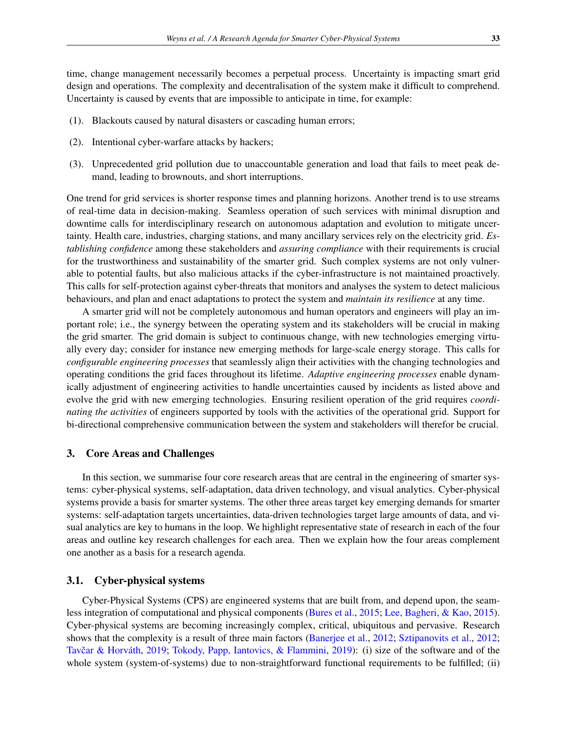time, change management necessarily becomes a perpetual process. Uncertainty is impacting smart grid design and operations. The complexity and decentralisation of the system make it difficult to comprehend. Uncertainty is caused by events that are impossible to anticipate in time, for example:

- (1). Blackouts caused by natural disasters or cascading human errors;
- (2). Intentional cyber-warfare attacks by hackers;
- (3). Unprecedented grid pollution due to unaccountable generation and load that fails to meet peak demand, leading to brownouts, and short interruptions.

One trend for grid services is shorter response times and planning horizons. Another trend is to use streams of real-time data in decision-making. Seamless operation of such services with minimal disruption and downtime calls for interdisciplinary research on autonomous adaptation and evolution to mitigate uncertainty. Health care, industries, charging stations, and many ancillary services rely on the electricity grid. *Establishing confidence* among these stakeholders and *assuring compliance* with their requirements is crucial for the trustworthiness and sustainability of the smarter grid. Such complex systems are not only vulnerable to potential faults, but also malicious attacks if the cyber-infrastructure is not maintained proactively. This calls for self-protection against cyber-threats that monitors and analyses the system to detect malicious behaviours, and plan and enact adaptations to protect the system and *maintain its resilience* at any time.

A smarter grid will not be completely autonomous and human operators and engineers will play an important role; i.e., the synergy between the operating system and its stakeholders will be crucial in making the grid smarter. The grid domain is subject to continuous change, with new technologies emerging virtually every day; consider for instance new emerging methods for large-scale energy storage. This calls for *configurable engineering processes* that seamlessly align their activities with the changing technologies and operating conditions the grid faces throughout its lifetime. *Adaptive engineering processes* enable dynamically adjustment of engineering activities to handle uncertainties caused by incidents as listed above and evolve the grid with new emerging technologies. Ensuring resilient operation of the grid requires *coordinating the activities* of engineers supported by tools with the activities of the operational grid. Support for bi-directional comprehensive communication between the system and stakeholders will therefor be crucial.

#### <span id="page-6-0"></span>3. Core Areas and Challenges

In this section, we summarise four core research areas that are central in the engineering of smarter systems: cyber-physical systems, self-adaptation, data driven technology, and visual analytics. Cyber-physical systems provide a basis for smarter systems. The other three areas target key emerging demands for smarter systems: self-adaptation targets uncertainties, data-driven technologies target large amounts of data, and visual analytics are key to humans in the loop. We highlight representative state of research in each of the four areas and outline key research challenges for each area. Then we explain how the four areas complement one another as a basis for a research agenda.

## 3.1. Cyber-physical systems

Cyber-Physical Systems (CPS) are engineered systems that are built from, and depend upon, the seamless integration of computational and physical components [\(Bures et al.,](#page-16-1) [2015;](#page-16-1) [Lee, Bagheri, & Kao,](#page-18-7) [2015\)](#page-18-7). Cyber-physical systems are becoming increasingly complex, critical, ubiquitous and pervasive. Research shows that the complexity is a result of three main factors [\(Banerjee et al.,](#page-16-6) [2012;](#page-16-6) [Sztipanovits et al.,](#page-19-8) [2012;](#page-19-8) Tavčar & Horváth, [2019;](#page-19-4) [Tokody, Papp, Iantovics, & Flammini,](#page-19-11) [2019\)](#page-19-11): (i) size of the software and of the whole system (system-of-systems) due to non-straightforward functional requirements to be fulfilled; (ii)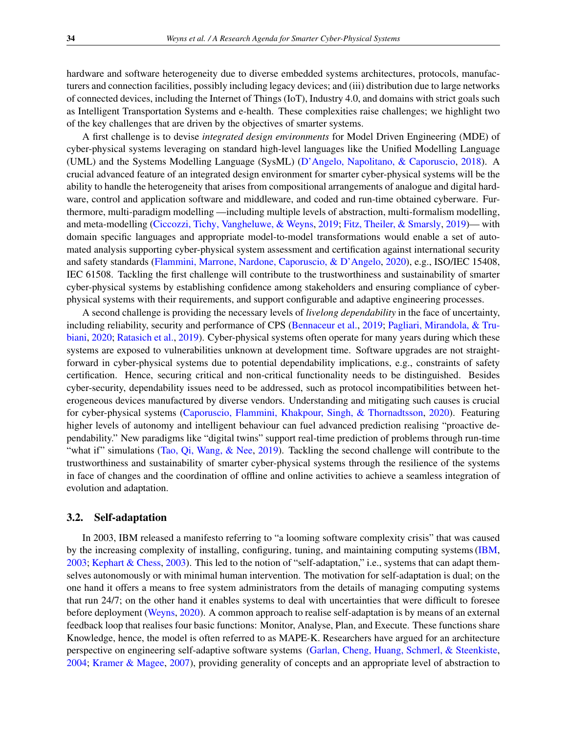hardware and software heterogeneity due to diverse embedded systems architectures, protocols, manufacturers and connection facilities, possibly including legacy devices; and (iii) distribution due to large networks of connected devices, including the Internet of Things (IoT), Industry 4.0, and domains with strict goals such as Intelligent Transportation Systems and e-health. These complexities raise challenges; we highlight two of the key challenges that are driven by the objectives of smarter systems.

A first challenge is to devise *integrated design environments* for Model Driven Engineering (MDE) of cyber-physical systems leveraging on standard high-level languages like the Unified Modelling Language (UML) and the Systems Modelling Language (SysML) [\(D'Angelo, Napolitano, & Caporuscio,](#page-17-10) [2018\)](#page-17-10). A crucial advanced feature of an integrated design environment for smarter cyber-physical systems will be the ability to handle the heterogeneity that arises from compositional arrangements of analogue and digital hardware, control and application software and middleware, and coded and run-time obtained cyberware. Furthermore, multi-paradigm modelling —including multiple levels of abstraction, multi-formalism modelling, and meta-modelling [\(Ciccozzi, Tichy, Vangheluwe, & Weyns,](#page-17-11) [2019;](#page-17-11) [Fitz, Theiler, & Smarsly,](#page-17-12) [2019\)](#page-17-12)— with domain specific languages and appropriate model-to-model transformations would enable a set of automated analysis supporting cyber-physical system assessment and certification against international security and safety standards [\(Flammini, Marrone, Nardone, Caporuscio, & D'Angelo,](#page-17-13) [2020\)](#page-17-13), e.g., ISO/IEC 15408, IEC 61508. Tackling the first challenge will contribute to the trustworthiness and sustainability of smarter cyber-physical systems by establishing confidence among stakeholders and ensuring compliance of cyberphysical systems with their requirements, and support configurable and adaptive engineering processes.

A second challenge is providing the necessary levels of *livelong dependability* in the face of uncertainty, including reliability, security and performance of CPS [\(Bennaceur et al.,](#page-16-7) [2019;](#page-16-7) [Pagliari, Mirandola, & Tru](#page-18-8)[biani,](#page-18-8) [2020;](#page-18-8) [Ratasich et al.,](#page-18-9) [2019\)](#page-18-9). Cyber-physical systems often operate for many years during which these systems are exposed to vulnerabilities unknown at development time. Software upgrades are not straightforward in cyber-physical systems due to potential dependability implications, e.g., constraints of safety certification. Hence, securing critical and non-critical functionality needs to be distinguished. Besides cyber-security, dependability issues need to be addressed, such as protocol incompatibilities between heterogeneous devices manufactured by diverse vendors. Understanding and mitigating such causes is crucial for cyber-physical systems [\(Caporuscio, Flammini, Khakpour, Singh, & Thornadtsson,](#page-16-8) [2020\)](#page-16-8). Featuring higher levels of autonomy and intelligent behaviour can fuel advanced prediction realising "proactive dependability." New paradigms like "digital twins" support real-time prediction of problems through run-time "what if" simulations [\(Tao, Qi, Wang, & Nee,](#page-19-12) [2019\)](#page-19-12). Tackling the second challenge will contribute to the trustworthiness and sustainability of smarter cyber-physical systems through the resilience of the systems in face of changes and the coordination of offline and online activities to achieve a seamless integration of evolution and adaptation.

## 3.2. Self-adaptation

In 2003, IBM released a manifesto referring to "a looming software complexity crisis" that was caused by the increasing complexity of installing, configuring, tuning, and maintaining computing systems [\(IBM,](#page-17-14) [2003;](#page-17-14) [Kephart & Chess,](#page-17-15) [2003\)](#page-17-15). This led to the notion of "self-adaptation," i.e., systems that can adapt themselves autonomously or with minimal human intervention. The motivation for self-adaptation is dual; on the one hand it offers a means to free system administrators from the details of managing computing systems that run 24/7; on the other hand it enables systems to deal with uncertainties that were difficult to foresee before deployment [\(Weyns,](#page-19-9) [2020\)](#page-19-9). A common approach to realise self-adaptation is by means of an external feedback loop that realises four basic functions: Monitor, Analyse, Plan, and Execute. These functions share Knowledge, hence, the model is often referred to as MAPE-K. Researchers have argued for an architecture perspective on engineering self-adaptive software systems [\(Garlan, Cheng, Huang, Schmerl, & Steenkiste,](#page-17-16) [2004;](#page-17-16) [Kramer & Magee,](#page-18-10) [2007\)](#page-18-10), providing generality of concepts and an appropriate level of abstraction to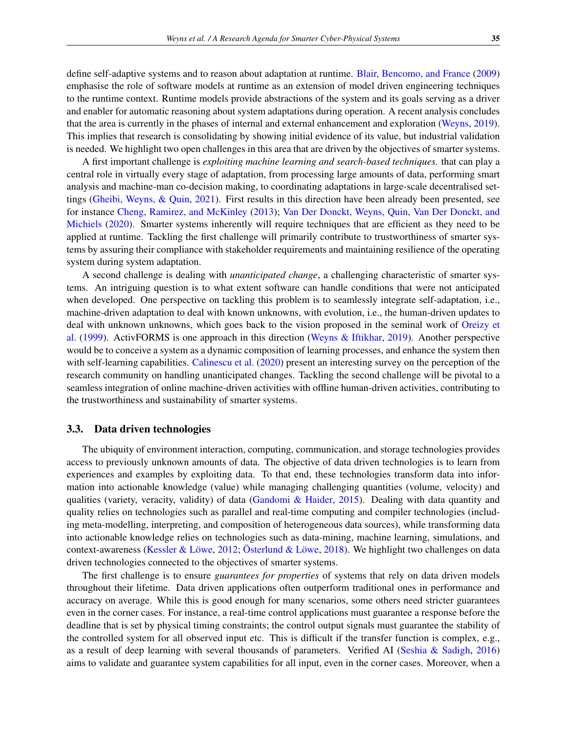define self-adaptive systems and to reason about adaptation at runtime. [Blair, Bencomo, and France](#page-16-9) [\(2009\)](#page-16-9) emphasise the role of software models at runtime as an extension of model driven engineering techniques to the runtime context. Runtime models provide abstractions of the system and its goals serving as a driver and enabler for automatic reasoning about system adaptations during operation. A recent analysis concludes that the area is currently in the phases of internal and external enhancement and exploration [\(Weyns,](#page-19-13) [2019\)](#page-19-13). This implies that research is consolidating by showing initial evidence of its value, but industrial validation is needed. We highlight two open challenges in this area that are driven by the objectives of smarter systems.

A first important challenge is *exploiting machine learning and search-based techniques.* that can play a central role in virtually every stage of adaptation, from processing large amounts of data, performing smart analysis and machine-man co-decision making, to coordinating adaptations in large-scale decentralised settings [\(Gheibi, Weyns, & Quin,](#page-17-17) [2021\)](#page-17-17). First results in this direction have been already been presented, see for instance [Cheng, Ramirez, and McKinley](#page-16-10) [\(2013\)](#page-16-10); [Van Der Donckt, Weyns, Quin, Van Der Donckt, and](#page-19-14) [Michiels](#page-19-14) [\(2020\)](#page-19-14). Smarter systems inherently will require techniques that are efficient as they need to be applied at runtime. Tackling the first challenge will primarily contribute to trustworthiness of smarter systems by assuring their compliance with stakeholder requirements and maintaining resilience of the operating system during system adaptation.

A second challenge is dealing with *unanticipated change*, a challenging characteristic of smarter systems. An intriguing question is to what extent software can handle conditions that were not anticipated when developed. One perspective on tackling this problem is to seamlessly integrate self-adaptation, i.e., machine-driven adaptation to deal with known unknowns, with evolution, i.e., the human-driven updates to deal with unknown unknowns, which goes back to the vision proposed in the seminal work of [Oreizy et](#page-18-11) [al.](#page-18-11) [\(1999\)](#page-18-11). ActivFORMS is one approach in this direction [\(Weyns & Iftikhar,](#page-19-15) [2019\)](#page-19-15). Another perspective would be to conceive a system as a dynamic composition of learning processes, and enhance the system then with self-learning capabilities. [Calinescu et al.](#page-16-3) [\(2020\)](#page-16-3) present an interesting survey on the perception of the research community on handling unanticipated changes. Tackling the second challenge will be pivotal to a seamless integration of online machine-driven activities with offline human-driven activities, contributing to the trustworthiness and sustainability of smarter systems.

#### 3.3. Data driven technologies

The ubiquity of environment interaction, computing, communication, and storage technologies provides access to previously unknown amounts of data. The objective of data driven technologies is to learn from experiences and examples by exploiting data. To that end, these technologies transform data into information into actionable knowledge (value) while managing challenging quantities (volume, velocity) and qualities (variety, veracity, validity) of data [\(Gandomi & Haider,](#page-17-5) [2015\)](#page-17-5). Dealing with data quantity and quality relies on technologies such as parallel and real-time computing and compiler technologies (including meta-modelling, interpreting, and composition of heterogeneous data sources), while transforming data into actionable knowledge relies on technologies such as data-mining, machine learning, simulations, and context-awareness (Kessler & Löwe, [2012;](#page-18-12) Österlund & Löwe, [2018\)](#page-18-13). We highlight two challenges on data driven technologies connected to the objectives of smarter systems.

The first challenge is to ensure *guarantees for properties* of systems that rely on data driven models throughout their lifetime. Data driven applications often outperform traditional ones in performance and accuracy on average. While this is good enough for many scenarios, some others need stricter guarantees even in the corner cases. For instance, a real-time control applications must guarantee a response before the deadline that is set by physical timing constraints; the control output signals must guarantee the stability of the controlled system for all observed input etc. This is difficult if the transfer function is complex, e.g., as a result of deep learning with several thousands of parameters. Verified AI [\(Seshia & Sadigh,](#page-19-16) [2016\)](#page-19-16) aims to validate and guarantee system capabilities for all input, even in the corner cases. Moreover, when a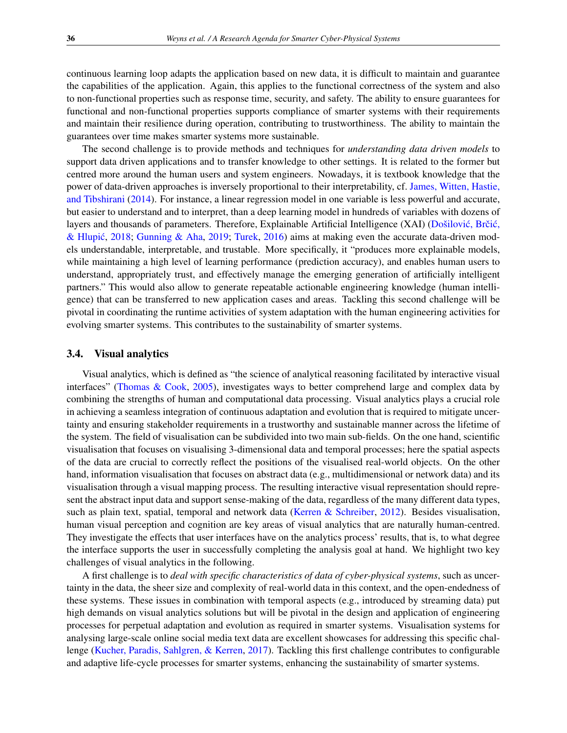continuous learning loop adapts the application based on new data, it is difficult to maintain and guarantee the capabilities of the application. Again, this applies to the functional correctness of the system and also to non-functional properties such as response time, security, and safety. The ability to ensure guarantees for functional and non-functional properties supports compliance of smarter systems with their requirements and maintain their resilience during operation, contributing to trustworthiness. The ability to maintain the guarantees over time makes smarter systems more sustainable.

The second challenge is to provide methods and techniques for *understanding data driven models* to support data driven applications and to transfer knowledge to other settings. It is related to the former but centred more around the human users and system engineers. Nowadays, it is textbook knowledge that the power of data-driven approaches is inversely proportional to their interpretability, cf. [James, Witten, Hastie,](#page-17-18) [and Tibshirani](#page-17-18) [\(2014\)](#page-17-18). For instance, a linear regression model in one variable is less powerful and accurate, but easier to understand and to interpret, than a deep learning model in hundreds of variables with dozens of layers and thousands of parameters. Therefore, Explainable Artificial Intelligence (XAI) (Došilović, Brčić, & Hlupić, [2018;](#page-17-19) [Gunning & Aha,](#page-17-20) [2019;](#page-17-20) [Turek,](#page-19-17) [2016\)](#page-19-17) aims at making even the accurate data-driven models understandable, interpretable, and trustable. More specifically, it "produces more explainable models, while maintaining a high level of learning performance (prediction accuracy), and enables human users to understand, appropriately trust, and effectively manage the emerging generation of artificially intelligent partners." This would also allow to generate repeatable actionable engineering knowledge (human intelligence) that can be transferred to new application cases and areas. Tackling this second challenge will be pivotal in coordinating the runtime activities of system adaptation with the human engineering activities for evolving smarter systems. This contributes to the sustainability of smarter systems.

#### 3.4. Visual analytics

Visual analytics, which is defined as "the science of analytical reasoning facilitated by interactive visual interfaces" [\(Thomas & Cook,](#page-19-10) [2005\)](#page-19-10), investigates ways to better comprehend large and complex data by combining the strengths of human and computational data processing. Visual analytics plays a crucial role in achieving a seamless integration of continuous adaptation and evolution that is required to mitigate uncertainty and ensuring stakeholder requirements in a trustworthy and sustainable manner across the lifetime of the system. The field of visualisation can be subdivided into two main sub-fields. On the one hand, scientific visualisation that focuses on visualising 3-dimensional data and temporal processes; here the spatial aspects of the data are crucial to correctly reflect the positions of the visualised real-world objects. On the other hand, information visualisation that focuses on abstract data (e.g., multidimensional or network data) and its visualisation through a visual mapping process. The resulting interactive visual representation should represent the abstract input data and support sense-making of the data, regardless of the many different data types, such as plain text, spatial, temporal and network data [\(Kerren & Schreiber,](#page-18-14) [2012\)](#page-18-14). Besides visualisation, human visual perception and cognition are key areas of visual analytics that are naturally human-centred. They investigate the effects that user interfaces have on the analytics process' results, that is, to what degree the interface supports the user in successfully completing the analysis goal at hand. We highlight two key challenges of visual analytics in the following.

A first challenge is to *deal with specific characteristics of data of cyber-physical systems*, such as uncertainty in the data, the sheer size and complexity of real-world data in this context, and the open-endedness of these systems. These issues in combination with temporal aspects (e.g., introduced by streaming data) put high demands on visual analytics solutions but will be pivotal in the design and application of engineering processes for perpetual adaptation and evolution as required in smarter systems. Visualisation systems for analysing large-scale online social media text data are excellent showcases for addressing this specific challenge [\(Kucher, Paradis, Sahlgren, & Kerren,](#page-18-15) [2017\)](#page-18-15). Tackling this first challenge contributes to configurable and adaptive life-cycle processes for smarter systems, enhancing the sustainability of smarter systems.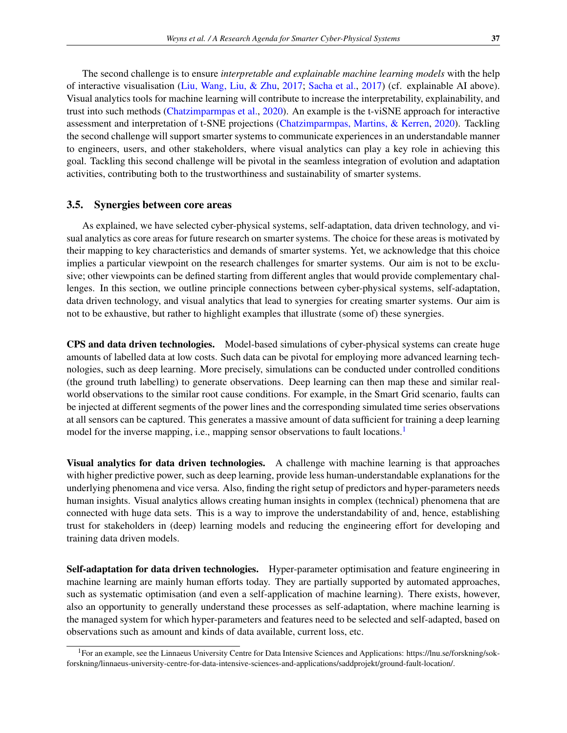The second challenge is to ensure *interpretable and explainable machine learning models* with the help of interactive visualisation [\(Liu, Wang, Liu, & Zhu,](#page-18-16) [2017;](#page-18-16) [Sacha et al.,](#page-18-17) [2017\)](#page-18-17) (cf. explainable AI above). Visual analytics tools for machine learning will contribute to increase the interpretability, explainability, and trust into such methods [\(Chatzimparmpas et al.,](#page-16-11) [2020\)](#page-16-11). An example is the t-viSNE approach for interactive assessment and interpretation of t-SNE projections [\(Chatzimparmpas, Martins, & Kerren,](#page-16-12) [2020\)](#page-16-12). Tackling the second challenge will support smarter systems to communicate experiences in an understandable manner to engineers, users, and other stakeholders, where visual analytics can play a key role in achieving this goal. Tackling this second challenge will be pivotal in the seamless integration of evolution and adaptation activities, contributing both to the trustworthiness and sustainability of smarter systems.

## 3.5. Synergies between core areas

As explained, we have selected cyber-physical systems, self-adaptation, data driven technology, and visual analytics as core areas for future research on smarter systems. The choice for these areas is motivated by their mapping to key characteristics and demands of smarter systems. Yet, we acknowledge that this choice implies a particular viewpoint on the research challenges for smarter systems. Our aim is not to be exclusive; other viewpoints can be defined starting from different angles that would provide complementary challenges. In this section, we outline principle connections between cyber-physical systems, self-adaptation, data driven technology, and visual analytics that lead to synergies for creating smarter systems. Our aim is not to be exhaustive, but rather to highlight examples that illustrate (some of) these synergies.

CPS and data driven technologies. Model-based simulations of cyber-physical systems can create huge amounts of labelled data at low costs. Such data can be pivotal for employing more advanced learning technologies, such as deep learning. More precisely, simulations can be conducted under controlled conditions (the ground truth labelling) to generate observations. Deep learning can then map these and similar realworld observations to the similar root cause conditions. For example, in the Smart Grid scenario, faults can be injected at different segments of the power lines and the corresponding simulated time series observations at all sensors can be captured. This generates a massive amount of data sufficient for training a deep learning model for the inverse mapping, i.e., mapping sensor observations to fault locations.<sup>[1](#page-10-0)</sup>

Visual analytics for data driven technologies. A challenge with machine learning is that approaches with higher predictive power, such as deep learning, provide less human-understandable explanations for the underlying phenomena and vice versa. Also, finding the right setup of predictors and hyper-parameters needs human insights. Visual analytics allows creating human insights in complex (technical) phenomena that are connected with huge data sets. This is a way to improve the understandability of and, hence, establishing trust for stakeholders in (deep) learning models and reducing the engineering effort for developing and training data driven models.

Self-adaptation for data driven technologies. Hyper-parameter optimisation and feature engineering in machine learning are mainly human efforts today. They are partially supported by automated approaches, such as systematic optimisation (and even a self-application of machine learning). There exists, however, also an opportunity to generally understand these processes as self-adaptation, where machine learning is the managed system for which hyper-parameters and features need to be selected and self-adapted, based on observations such as amount and kinds of data available, current loss, etc.

<span id="page-10-0"></span><sup>1</sup>For an example, see the Linnaeus University Centre for Data Intensive Sciences and Applications: https://lnu.se/forskning/sokforskning/linnaeus-university-centre-for-data-intensive-sciences-and-applications/saddprojekt/ground-fault-location/.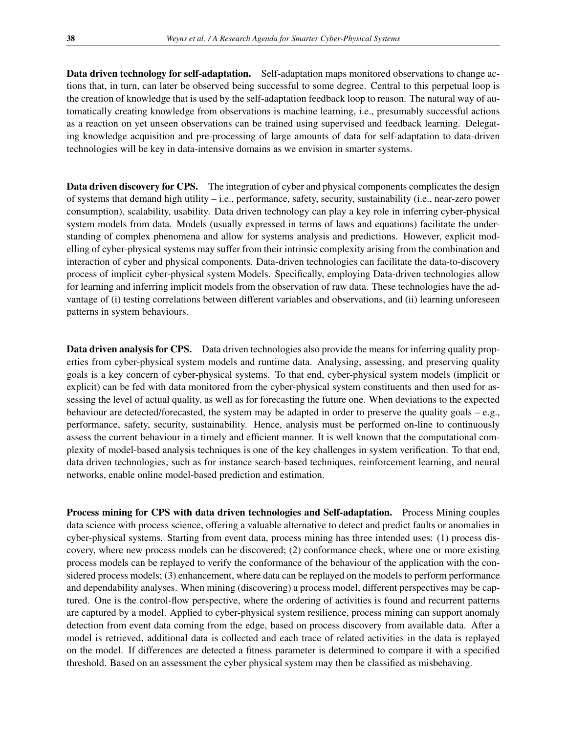Data driven technology for self-adaptation. Self-adaptation maps monitored observations to change actions that, in turn, can later be observed being successful to some degree. Central to this perpetual loop is the creation of knowledge that is used by the self-adaptation feedback loop to reason. The natural way of automatically creating knowledge from observations is machine learning, i.e., presumably successful actions as a reaction on yet unseen observations can be trained using supervised and feedback learning. Delegating knowledge acquisition and pre-processing of large amounts of data for self-adaptation to data-driven technologies will be key in data-intensive domains as we envision in smarter systems.

Data driven discovery for CPS. The integration of cyber and physical components complicates the design of systems that demand high utility – i.e., performance, safety, security, sustainability (i.e., near-zero power consumption), scalability, usability. Data driven technology can play a key role in inferring cyber-physical system models from data. Models (usually expressed in terms of laws and equations) facilitate the understanding of complex phenomena and allow for systems analysis and predictions. However, explicit modelling of cyber-physical systems may suffer from their intrinsic complexity arising from the combination and interaction of cyber and physical components. Data-driven technologies can facilitate the data-to-discovery process of implicit cyber-physical system Models. Specifically, employing Data-driven technologies allow for learning and inferring implicit models from the observation of raw data. These technologies have the advantage of (i) testing correlations between different variables and observations, and (ii) learning unforeseen patterns in system behaviours.

Data driven analysis for CPS. Data driven technologies also provide the means for inferring quality properties from cyber-physical system models and runtime data. Analysing, assessing, and preserving quality goals is a key concern of cyber-physical systems. To that end, cyber-physical system models (implicit or explicit) can be fed with data monitored from the cyber-physical system constituents and then used for assessing the level of actual quality, as well as for forecasting the future one. When deviations to the expected behaviour are detected/forecasted, the system may be adapted in order to preserve the quality goals – e.g., performance, safety, security, sustainability. Hence, analysis must be performed on-line to continuously assess the current behaviour in a timely and efficient manner. It is well known that the computational complexity of model-based analysis techniques is one of the key challenges in system verification. To that end, data driven technologies, such as for instance search-based techniques, reinforcement learning, and neural networks, enable online model-based prediction and estimation.

Process mining for CPS with data driven technologies and Self-adaptation. Process Mining couples data science with process science, offering a valuable alternative to detect and predict faults or anomalies in cyber-physical systems. Starting from event data, process mining has three intended uses: (1) process discovery, where new process models can be discovered; (2) conformance check, where one or more existing process models can be replayed to verify the conformance of the behaviour of the application with the considered process models; (3) enhancement, where data can be replayed on the models to perform performance and dependability analyses. When mining (discovering) a process model, different perspectives may be captured. One is the control-flow perspective, where the ordering of activities is found and recurrent patterns are captured by a model. Applied to cyber-physical system resilience, process mining can support anomaly detection from event data coming from the edge, based on process discovery from available data. After a model is retrieved, additional data is collected and each trace of related activities in the data is replayed on the model. If differences are detected a fitness parameter is determined to compare it with a specified threshold. Based on an assessment the cyber physical system may then be classified as misbehaving.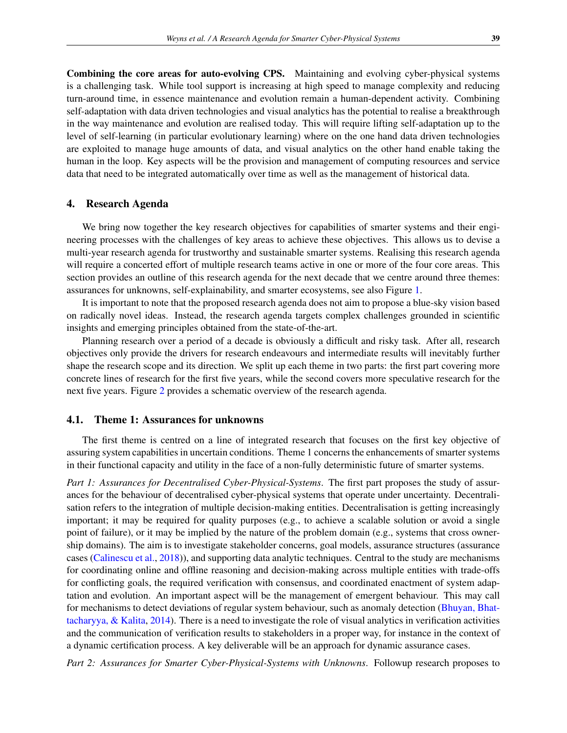Combining the core areas for auto-evolving CPS. Maintaining and evolving cyber-physical systems is a challenging task. While tool support is increasing at high speed to manage complexity and reducing turn-around time, in essence maintenance and evolution remain a human-dependent activity. Combining self-adaptation with data driven technologies and visual analytics has the potential to realise a breakthrough in the way maintenance and evolution are realised today. This will require lifting self-adaptation up to the level of self-learning (in particular evolutionary learning) where on the one hand data driven technologies are exploited to manage huge amounts of data, and visual analytics on the other hand enable taking the human in the loop. Key aspects will be the provision and management of computing resources and service data that need to be integrated automatically over time as well as the management of historical data.

#### <span id="page-12-0"></span>4. Research Agenda

We bring now together the key research objectives for capabilities of smarter systems and their engineering processes with the challenges of key areas to achieve these objectives. This allows us to devise a multi-year research agenda for trustworthy and sustainable smarter systems. Realising this research agenda will require a concerted effort of multiple research teams active in one or more of the four core areas. This section provides an outline of this research agenda for the next decade that we centre around three themes: assurances for unknowns, self-explainability, and smarter ecosystems, see also Figure [1.](#page-3-0)

It is important to note that the proposed research agenda does not aim to propose a blue-sky vision based on radically novel ideas. Instead, the research agenda targets complex challenges grounded in scientific insights and emerging principles obtained from the state-of-the-art.

Planning research over a period of a decade is obviously a difficult and risky task. After all, research objectives only provide the drivers for research endeavours and intermediate results will inevitably further shape the research scope and its direction. We split up each theme in two parts: the first part covering more concrete lines of research for the first five years, while the second covers more speculative research for the next five years. Figure [2](#page-13-0) provides a schematic overview of the research agenda.

#### 4.1. Theme 1: Assurances for unknowns

The first theme is centred on a line of integrated research that focuses on the first key objective of assuring system capabilities in uncertain conditions. Theme 1 concerns the enhancements of smarter systems in their functional capacity and utility in the face of a non-fully deterministic future of smarter systems.

*Part 1: Assurances for Decentralised Cyber-Physical-Systems*. The first part proposes the study of assurances for the behaviour of decentralised cyber-physical systems that operate under uncertainty. Decentralisation refers to the integration of multiple decision-making entities. Decentralisation is getting increasingly important; it may be required for quality purposes (e.g., to achieve a scalable solution or avoid a single point of failure), or it may be implied by the nature of the problem domain (e.g., systems that cross ownership domains). The aim is to investigate stakeholder concerns, goal models, assurance structures (assurance cases [\(Calinescu et al.,](#page-16-13) [2018\)](#page-16-13)), and supporting data analytic techniques. Central to the study are mechanisms for coordinating online and offline reasoning and decision-making across multiple entities with trade-offs for conflicting goals, the required verification with consensus, and coordinated enactment of system adaptation and evolution. An important aspect will be the management of emergent behaviour. This may call for mechanisms to detect deviations of regular system behaviour, such as anomaly detection [\(Bhuyan, Bhat](#page-16-14)[tacharyya, & Kalita,](#page-16-14) [2014\)](#page-16-14). There is a need to investigate the role of visual analytics in verification activities and the communication of verification results to stakeholders in a proper way, for instance in the context of a dynamic certification process. A key deliverable will be an approach for dynamic assurance cases.

*Part 2: Assurances for Smarter Cyber-Physical-Systems with Unknowns*. Followup research proposes to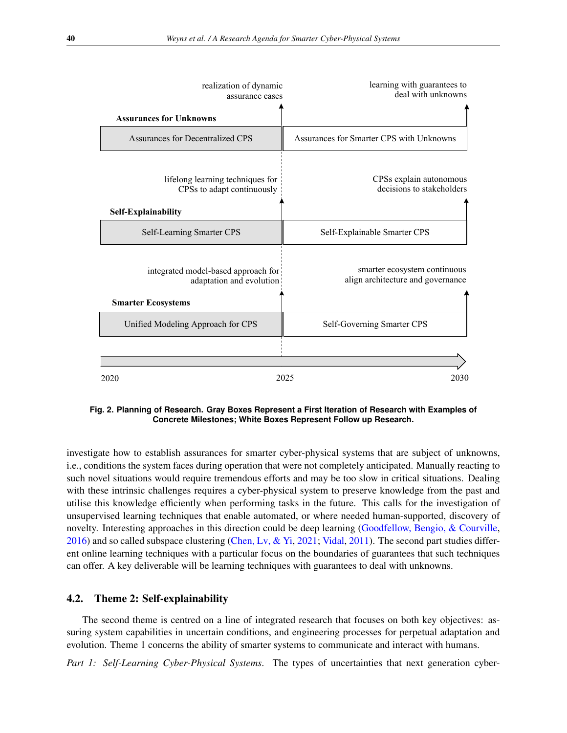<span id="page-13-0"></span>

| realization of dynamic<br>assurance cases                                                    | learning with guarantees to<br>deal with unknowns                 |
|----------------------------------------------------------------------------------------------|-------------------------------------------------------------------|
| <b>Assurances for Unknowns</b>                                                               |                                                                   |
| Assurances for Decentralized CPS                                                             | Assurances for Smarter CPS with Unknowns                          |
| lifelong learning techniques for<br>CPSs to adapt continuously<br>Self-Explainability        | CPSs explain autonomous<br>decisions to stakeholders              |
| Self-Learning Smarter CPS                                                                    | Self-Explainable Smarter CPS                                      |
| integrated model-based approach for<br>adaptation and evolution<br><b>Smarter Ecosystems</b> | smarter ecosystem continuous<br>align architecture and governance |
| Unified Modeling Approach for CPS                                                            | Self-Governing Smarter CPS                                        |
| 2025<br>2030<br>2020                                                                         |                                                                   |
|                                                                                              |                                                                   |

**Fig. 2. Planning of Research. Gray Boxes Represent a First Iteration of Research with Examples of Concrete Milestones; White Boxes Represent Follow up Research.**

investigate how to establish assurances for smarter cyber-physical systems that are subject of unknowns, i.e., conditions the system faces during operation that were not completely anticipated. Manually reacting to such novel situations would require tremendous efforts and may be too slow in critical situations. Dealing with these intrinsic challenges requires a cyber-physical system to preserve knowledge from the past and utilise this knowledge efficiently when performing tasks in the future. This calls for the investigation of unsupervised learning techniques that enable automated, or where needed human-supported, discovery of novelty. Interesting approaches in this direction could be deep learning [\(Goodfellow, Bengio, & Courville,](#page-17-21) [2016\)](#page-17-21) and so called subspace clustering [\(Chen, Lv, & Yi,](#page-16-15) [2021;](#page-16-15) [Vidal,](#page-19-18) [2011\)](#page-19-18). The second part studies different online learning techniques with a particular focus on the boundaries of guarantees that such techniques can offer. A key deliverable will be learning techniques with guarantees to deal with unknowns.

## 4.2. Theme 2: Self-explainability

The second theme is centred on a line of integrated research that focuses on both key objectives: assuring system capabilities in uncertain conditions, and engineering processes for perpetual adaptation and evolution. Theme 1 concerns the ability of smarter systems to communicate and interact with humans.

*Part 1: Self-Learning Cyber-Physical Systems*. The types of uncertainties that next generation cyber-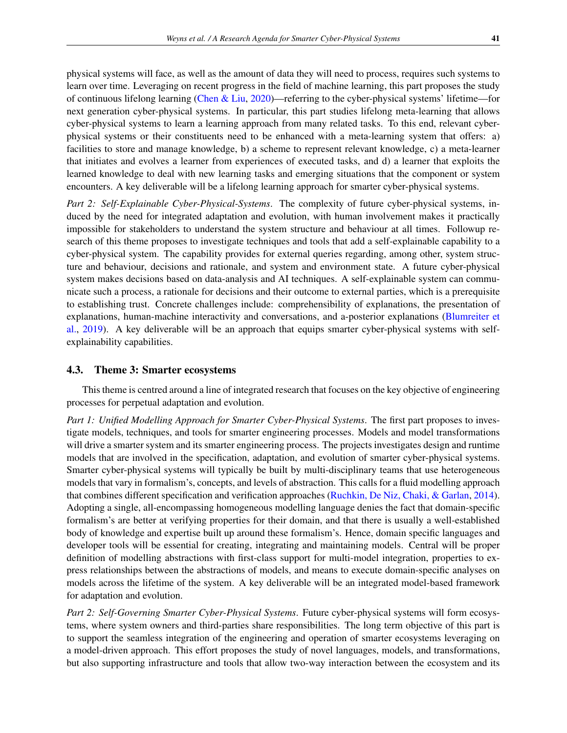physical systems will face, as well as the amount of data they will need to process, requires such systems to learn over time. Leveraging on recent progress in the field of machine learning, this part proposes the study of continuous lifelong learning [\(Chen & Liu,](#page-16-16) [2020\)](#page-16-16)—referring to the cyber-physical systems' lifetime—for next generation cyber-physical systems. In particular, this part studies lifelong meta-learning that allows cyber-physical systems to learn a learning approach from many related tasks. To this end, relevant cyberphysical systems or their constituents need to be enhanced with a meta-learning system that offers: a) facilities to store and manage knowledge, b) a scheme to represent relevant knowledge, c) a meta-learner that initiates and evolves a learner from experiences of executed tasks, and d) a learner that exploits the learned knowledge to deal with new learning tasks and emerging situations that the component or system encounters. A key deliverable will be a lifelong learning approach for smarter cyber-physical systems.

*Part 2: Self-Explainable Cyber-Physical-Systems*. The complexity of future cyber-physical systems, induced by the need for integrated adaptation and evolution, with human involvement makes it practically impossible for stakeholders to understand the system structure and behaviour at all times. Followup research of this theme proposes to investigate techniques and tools that add a self-explainable capability to a cyber-physical system. The capability provides for external queries regarding, among other, system structure and behaviour, decisions and rationale, and system and environment state. A future cyber-physical system makes decisions based on data-analysis and AI techniques. A self-explainable system can communicate such a process, a rationale for decisions and their outcome to external parties, which is a prerequisite to establishing trust. Concrete challenges include: comprehensibility of explanations, the presentation of explanations, human-machine interactivity and conversations, and a-posterior explanations [\(Blumreiter et](#page-16-17) [al.,](#page-16-17) [2019\)](#page-16-17). A key deliverable will be an approach that equips smarter cyber-physical systems with selfexplainability capabilities.

#### 4.3. Theme 3: Smarter ecosystems

This theme is centred around a line of integrated research that focuses on the key objective of engineering processes for perpetual adaptation and evolution.

*Part 1: Unified Modelling Approach for Smarter Cyber-Physical Systems*. The first part proposes to investigate models, techniques, and tools for smarter engineering processes. Models and model transformations will drive a smarter system and its smarter engineering process. The projects investigates design and runtime models that are involved in the specification, adaptation, and evolution of smarter cyber-physical systems. Smarter cyber-physical systems will typically be built by multi-disciplinary teams that use heterogeneous models that vary in formalism's, concepts, and levels of abstraction. This calls for a fluid modelling approach that combines different specification and verification approaches [\(Ruchkin, De Niz, Chaki, & Garlan,](#page-18-18) [2014\)](#page-18-18). Adopting a single, all-encompassing homogeneous modelling language denies the fact that domain-specific formalism's are better at verifying properties for their domain, and that there is usually a well-established body of knowledge and expertise built up around these formalism's. Hence, domain specific languages and developer tools will be essential for creating, integrating and maintaining models. Central will be proper definition of modelling abstractions with first-class support for multi-model integration, properties to express relationships between the abstractions of models, and means to execute domain-specific analyses on models across the lifetime of the system. A key deliverable will be an integrated model-based framework for adaptation and evolution.

*Part 2: Self-Governing Smarter Cyber-Physical Systems*. Future cyber-physical systems will form ecosystems, where system owners and third-parties share responsibilities. The long term objective of this part is to support the seamless integration of the engineering and operation of smarter ecosystems leveraging on a model-driven approach. This effort proposes the study of novel languages, models, and transformations, but also supporting infrastructure and tools that allow two-way interaction between the ecosystem and its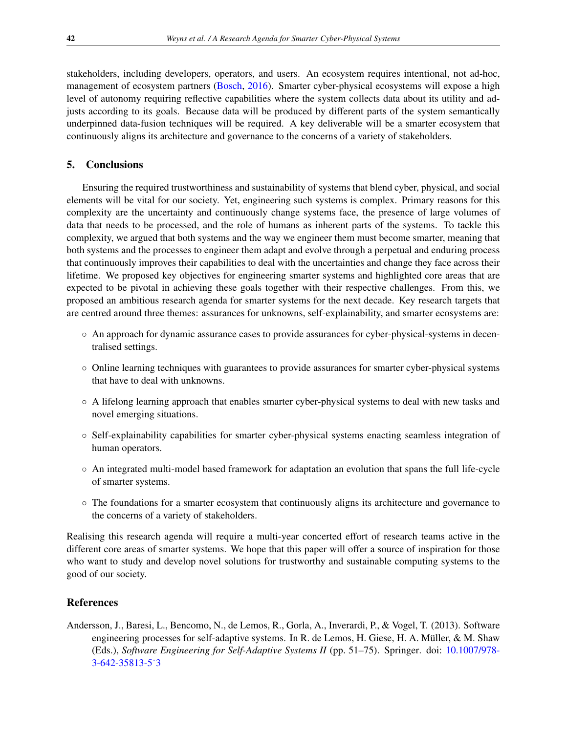stakeholders, including developers, operators, and users. An ecosystem requires intentional, not ad-hoc, management of ecosystem partners [\(Bosch,](#page-16-18) [2016\)](#page-16-18). Smarter cyber-physical ecosystems will expose a high level of autonomy requiring reflective capabilities where the system collects data about its utility and adjusts according to its goals. Because data will be produced by different parts of the system semantically underpinned data-fusion techniques will be required. A key deliverable will be a smarter ecosystem that continuously aligns its architecture and governance to the concerns of a variety of stakeholders.

## <span id="page-15-0"></span>5. Conclusions

Ensuring the required trustworthiness and sustainability of systems that blend cyber, physical, and social elements will be vital for our society. Yet, engineering such systems is complex. Primary reasons for this complexity are the uncertainty and continuously change systems face, the presence of large volumes of data that needs to be processed, and the role of humans as inherent parts of the systems. To tackle this complexity, we argued that both systems and the way we engineer them must become smarter, meaning that both systems and the processes to engineer them adapt and evolve through a perpetual and enduring process that continuously improves their capabilities to deal with the uncertainties and change they face across their lifetime. We proposed key objectives for engineering smarter systems and highlighted core areas that are expected to be pivotal in achieving these goals together with their respective challenges. From this, we proposed an ambitious research agenda for smarter systems for the next decade. Key research targets that are centred around three themes: assurances for unknowns, self-explainability, and smarter ecosystems are:

- An approach for dynamic assurance cases to provide assurances for cyber-physical-systems in decentralised settings.
- Online learning techniques with guarantees to provide assurances for smarter cyber-physical systems that have to deal with unknowns.
- A lifelong learning approach that enables smarter cyber-physical systems to deal with new tasks and novel emerging situations.
- Self-explainability capabilities for smarter cyber-physical systems enacting seamless integration of human operators.
- An integrated multi-model based framework for adaptation an evolution that spans the full life-cycle of smarter systems.
- The foundations for a smarter ecosystem that continuously aligns its architecture and governance to the concerns of a variety of stakeholders.

Realising this research agenda will require a multi-year concerted effort of research teams active in the different core areas of smarter systems. We hope that this paper will offer a source of inspiration for those who want to study and develop novel solutions for trustworthy and sustainable computing systems to the good of our society.

## References

<span id="page-15-1"></span>Andersson, J., Baresi, L., Bencomo, N., de Lemos, R., Gorla, A., Inverardi, P., & Vogel, T. (2013). Software engineering processes for self-adaptive systems. In R. de Lemos, H. Giese, H. A. Müller, & M. Shaw (Eds.), *Software Engineering for Self-Adaptive Systems II* (pp. 51–75). Springer. doi: [10.1007/978-](http://dx.doi.org/10.1007/978-3-642-35813-5_3) [3-642-35813-5˙3](http://dx.doi.org/10.1007/978-3-642-35813-5_3)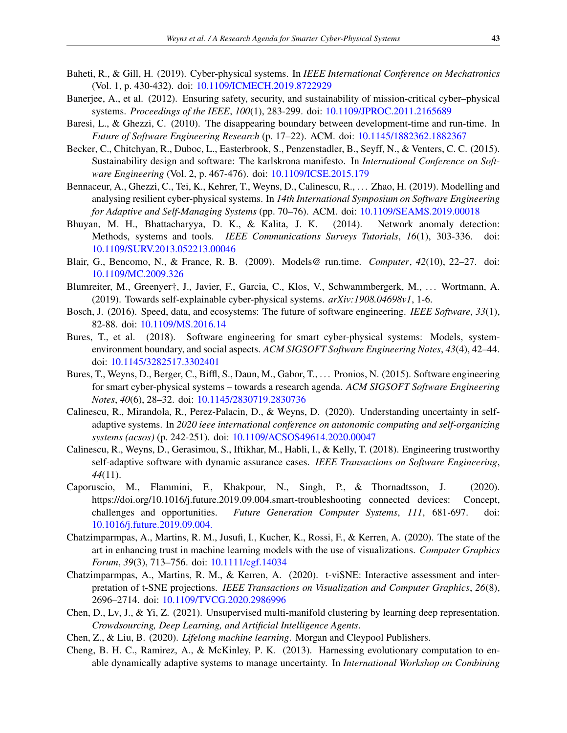- <span id="page-16-0"></span>Baheti, R., & Gill, H. (2019). Cyber-physical systems. In *IEEE International Conference on Mechatronics* (Vol. 1, p. 430-432). doi: [10.1109/ICMECH.2019.8722929](http://dx.doi.org/10.1109/ICMECH.2019.8722929)
- <span id="page-16-6"></span>Banerjee, A., et al. (2012). Ensuring safety, security, and sustainability of mission-critical cyber–physical systems. *Proceedings of the IEEE*, *100*(1), 283-299. doi: [10.1109/JPROC.2011.2165689](http://dx.doi.org/10.1109/JPROC.2011.2165689)
- <span id="page-16-4"></span>Baresi, L., & Ghezzi, C. (2010). The disappearing boundary between development-time and run-time. In *Future of Software Engineering Research* (p. 17–22). ACM. doi: [10.1145/1882362.1882367](http://dx.doi.org/10.1145/1882362.1882367)
- <span id="page-16-5"></span>Becker, C., Chitchyan, R., Duboc, L., Easterbrook, S., Penzenstadler, B., Seyff, N., & Venters, C. C. (2015). Sustainability design and software: The karlskrona manifesto. In *International Conference on Software Engineering* (Vol. 2, p. 467-476). doi: [10.1109/ICSE.2015.179](http://dx.doi.org/10.1109/ICSE.2015.179)
- <span id="page-16-7"></span>Bennaceur, A., Ghezzi, C., Tei, K., Kehrer, T., Weyns, D., Calinescu, R., . . . Zhao, H. (2019). Modelling and analysing resilient cyber-physical systems. In *14th International Symposium on Software Engineering for Adaptive and Self-Managing Systems* (pp. 70–76). ACM. doi: [10.1109/SEAMS.2019.00018](http://dx.doi.org/10.1109/SEAMS.2019.00018)
- <span id="page-16-14"></span>Bhuyan, M. H., Bhattacharyya, D. K., & Kalita, J. K. (2014). Network anomaly detection: Methods, systems and tools. *IEEE Communications Surveys Tutorials*, *16*(1), 303-336. doi: [10.1109/SURV.2013.052213.00046](http://dx.doi.org/10.1109/SURV.2013.052213.00046)
- <span id="page-16-9"></span>Blair, G., Bencomo, N., & France, R. B. (2009). Models@ run.time. *Computer*, *42*(10), 22–27. doi: [10.1109/MC.2009.326](http://dx.doi.org/10.1109/MC.2009.326)
- <span id="page-16-17"></span>Blumreiter, M., Greenyer†, J., Javier, F., Garcia, C., Klos, V., Schwammbergerk, M., . . . Wortmann, A. (2019). Towards self-explainable cyber-physical systems. *arXiv:1908.04698v1*, 1-6.
- <span id="page-16-18"></span>Bosch, J. (2016). Speed, data, and ecosystems: The future of software engineering. *IEEE Software*, *33*(1), 82-88. doi: [10.1109/MS.2016.14](http://dx.doi.org/10.1109/MS.2016.14)
- <span id="page-16-2"></span>Bures, T., et al. (2018). Software engineering for smart cyber-physical systems: Models, systemenvironment boundary, and social aspects. *ACM SIGSOFT Software Engineering Notes*, *43*(4), 42–44. doi: [10.1145/3282517.3302401](http://dx.doi.org/10.1145/3282517.3302401)
- <span id="page-16-1"></span>Bures, T., Weyns, D., Berger, C., Biffl, S., Daun, M., Gabor, T., . . . Pronios, N. (2015). Software engineering for smart cyber-physical systems – towards a research agenda. *ACM SIGSOFT Software Engineering Notes*, *40*(6), 28–32. doi: [10.1145/2830719.2830736](http://dx.doi.org/10.1145/2830719.2830736)
- <span id="page-16-3"></span>Calinescu, R., Mirandola, R., Perez-Palacin, D., & Weyns, D. (2020). Understanding uncertainty in selfadaptive systems. In *2020 ieee international conference on autonomic computing and self-organizing systems (acsos)* (p. 242-251). doi: [10.1109/ACSOS49614.2020.00047](http://dx.doi.org/10.1109/ACSOS49614.2020.00047)
- <span id="page-16-13"></span>Calinescu, R., Weyns, D., Gerasimou, S., Iftikhar, M., Habli, I., & Kelly, T. (2018). Engineering trustworthy self-adaptive software with dynamic assurance cases. *IEEE Transactions on Software Engineering*, *44*(11).
- <span id="page-16-8"></span>Caporuscio, M., Flammini, F., Khakpour, N., Singh, P., & Thornadtsson, J. (2020). https://doi.org/10.1016/j.future.2019.09.004.smart-troubleshooting connected devices: Concept, challenges and opportunities. *Future Generation Computer Systems*, *111*, 681-697. doi: [10.1016/j.future.2019.09.004.](http://dx.doi.org/10.1016/j.future.2019.09.004.)
- <span id="page-16-11"></span>Chatzimparmpas, A., Martins, R. M., Jusufi, I., Kucher, K., Rossi, F., & Kerren, A. (2020). The state of the art in enhancing trust in machine learning models with the use of visualizations. *Computer Graphics Forum*, *39*(3), 713–756. doi: [10.1111/cgf.14034](http://dx.doi.org/10.1111/cgf.14034)
- <span id="page-16-12"></span>Chatzimparmpas, A., Martins, R. M., & Kerren, A. (2020). t-viSNE: Interactive assessment and interpretation of t-SNE projections. *IEEE Transactions on Visualization and Computer Graphics*, *26*(8), 2696–2714. doi: [10.1109/TVCG.2020.2986996](http://dx.doi.org/10.1109/TVCG.2020.2986996)
- <span id="page-16-15"></span>Chen, D., Lv, J., & Yi, Z. (2021). Unsupervised multi-manifold clustering by learning deep representation. *Crowdsourcing, Deep Learning, and Artificial Intelligence Agents*.
- <span id="page-16-16"></span>Chen, Z., & Liu, B. (2020). *Lifelong machine learning*. Morgan and Cleypool Publishers.
- <span id="page-16-10"></span>Cheng, B. H. C., Ramirez, A., & McKinley, P. K. (2013). Harnessing evolutionary computation to enable dynamically adaptive systems to manage uncertainty. In *International Workshop on Combining*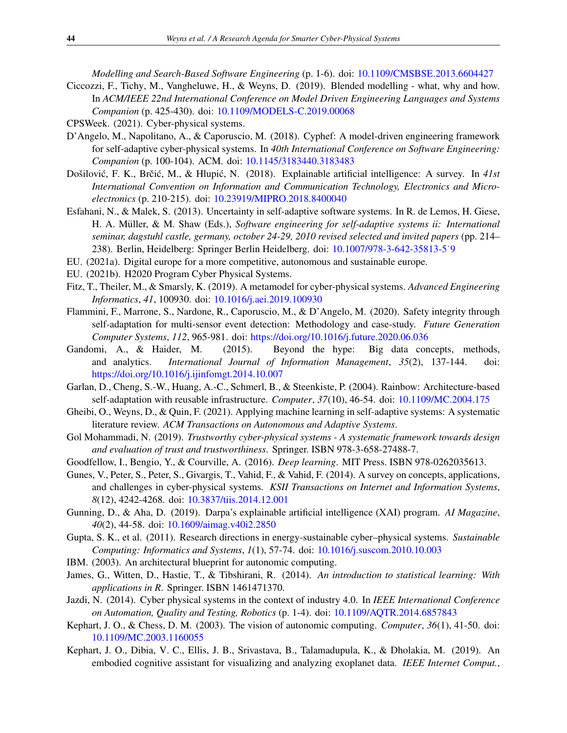*Modelling and Search-Based Software Engineering* (p. 1-6). doi: [10.1109/CMSBSE.2013.6604427](http://dx.doi.org/10.1109/CMSBSE.2013.6604427)

- <span id="page-17-11"></span>Ciccozzi, F., Tichy, M., Vangheluwe, H., & Weyns, D. (2019). Blended modelling - what, why and how. In *ACM/IEEE 22nd International Conference on Model Driven Engineering Languages and Systems Companion* (p. 425-430). doi: [10.1109/MODELS-C.2019.00068](http://dx.doi.org/10.1109/MODELS-C.2019.00068)
- <span id="page-17-1"></span>CPSWeek. (2021). Cyber-physical systems.
- <span id="page-17-10"></span>D'Angelo, M., Napolitano, A., & Caporuscio, M. (2018). Cyphef: A model-driven engineering framework for self-adaptive cyber-physical systems. In *40th International Conference on Software Engineering: Companion* (p. 100-104). ACM. doi: [10.1145/3183440.3183483](http://dx.doi.org/10.1145/3183440.3183483)
- <span id="page-17-19"></span>Došilović, F. K., Brčić, M., & Hlupić, N. (2018). Explainable artificial intelligence: A survey. In 41st *International Convention on Information and Communication Technology, Electronics and Microelectronics* (p. 210-215). doi: [10.23919/MIPRO.2018.8400040](http://dx.doi.org/10.23919/MIPRO.2018.8400040)
- <span id="page-17-4"></span>Esfahani, N., & Malek, S. (2013). Uncertainty in self-adaptive software systems. In R. de Lemos, H. Giese, H. A. Müller, & M. Shaw (Eds.), Software engineering for self-adaptive systems ii: International *seminar, dagstuhl castle, germany, october 24-29, 2010 revised selected and invited papers* (pp. 214– 238). Berlin, Heidelberg: Springer Berlin Heidelberg. doi: [10.1007/978-3-642-35813-5˙9](http://dx.doi.org/10.1007/978-3-642-35813-5_9)
- <span id="page-17-7"></span>EU. (2021a). Digital europe for a more competitive, autonomous and sustainable europe.
- <span id="page-17-3"></span>EU. (2021b). H2020 Program Cyber Physical Systems.
- <span id="page-17-12"></span>Fitz, T., Theiler, M., & Smarsly, K. (2019). A metamodel for cyber-physical systems. *Advanced Engineering Informatics*, *41*, 100930. doi: [10.1016/j.aei.2019.100930](http://dx.doi.org/10.1016/j.aei.2019.100930)
- <span id="page-17-13"></span>Flammini, F., Marrone, S., Nardone, R., Caporuscio, M., & D'Angelo, M. (2020). Safety integrity through self-adaptation for multi-sensor event detection: Methodology and case-study. *Future Generation Computer Systems*, *112*, 965-981. doi: [https://doi.org/10.1016/j.future.2020.06.036](http://dx.doi.org/https://doi.org/10.1016/j.future.2020.06.036)
- <span id="page-17-5"></span>Gandomi, A., & Haider, M. (2015). Beyond the hype: Big data concepts, methods, and analytics. *International Journal of Information Management*, *35*(2), 137-144. doi: [https://doi.org/10.1016/j.ijinfomgt.2014.10.007](http://dx.doi.org/https://doi.org/10.1016/j.ijinfomgt.2014.10.007)
- <span id="page-17-16"></span>Garlan, D., Cheng, S.-W., Huang, A.-C., Schmerl, B., & Steenkiste, P. (2004). Rainbow: Architecture-based self-adaptation with reusable infrastructure. *Computer*, *37*(10), 46-54. doi: [10.1109/MC.2004.175](http://dx.doi.org/10.1109/MC.2004.175)
- <span id="page-17-17"></span>Gheibi, O., Weyns, D., & Quin, F. (2021). Applying machine learning in self-adaptive systems: A systematic literature review. *ACM Transactions on Autonomous and Adaptive Systems*.
- <span id="page-17-8"></span>Gol Mohammadi, N. (2019). *Trustworthy cyber-physical systems - A systematic framework towards design and evaluation of trust and trustworthiness*. Springer. ISBN 978-3-658-27488-7.
- <span id="page-17-21"></span>Goodfellow, I., Bengio, Y., & Courville, A. (2016). *Deep learning*. MIT Press. ISBN 978-0262035613.
- <span id="page-17-2"></span>Gunes, V., Peter, S., Peter, S., Givargis, T., Vahid, F., & Vahid, F. (2014). A survey on concepts, applications, and challenges in cyber-physical systems. *KSII Transactions on Internet and Information Systems*, *8*(12), 4242-4268. doi: [10.3837/tiis.2014.12.001](http://dx.doi.org/10.3837/tiis.2014.12.001)
- <span id="page-17-20"></span>Gunning, D., & Aha, D. (2019). Darpa's explainable artificial intelligence (XAI) program. *AI Magazine*, *40*(2), 44-58. doi: [10.1609/aimag.v40i2.2850](http://dx.doi.org/10.1609/aimag.v40i2.2850)
- <span id="page-17-9"></span>Gupta, S. K., et al. (2011). Research directions in energy-sustainable cyber–physical systems. *Sustainable Computing: Informatics and Systems*, *1*(1), 57-74. doi: [10.1016/j.suscom.2010.10.003](http://dx.doi.org/10.1016/j.suscom.2010.10.003)
- <span id="page-17-14"></span>IBM. (2003). An architectural blueprint for autonomic computing.
- <span id="page-17-18"></span>James, G., Witten, D., Hastie, T., & Tibshirani, R. (2014). *An introduction to statistical learning: With applications in R*. Springer. ISBN 1461471370.
- <span id="page-17-0"></span>Jazdi, N. (2014). Cyber physical systems in the context of industry 4.0. In *IEEE International Conference on Automation, Quality and Testing, Robotics* (p. 1-4). doi: [10.1109/AQTR.2014.6857843](http://dx.doi.org/10.1109/AQTR.2014.6857843)
- <span id="page-17-15"></span>Kephart, J. O., & Chess, D. M. (2003). The vision of autonomic computing. *Computer*, *36*(1), 41-50. doi: [10.1109/MC.2003.1160055](http://dx.doi.org/10.1109/MC.2003.1160055)
- <span id="page-17-6"></span>Kephart, J. O., Dibia, V. C., Ellis, J. B., Srivastava, B., Talamadupula, K., & Dholakia, M. (2019). An embodied cognitive assistant for visualizing and analyzing exoplanet data. *IEEE Internet Comput.*,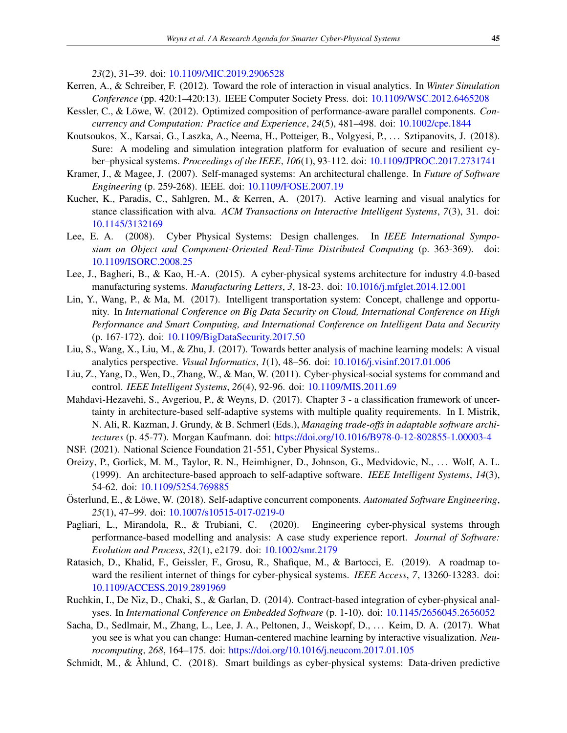*23*(2), 31–39. doi: [10.1109/MIC.2019.2906528](http://dx.doi.org/10.1109/MIC.2019.2906528)

- <span id="page-18-14"></span>Kerren, A., & Schreiber, F. (2012). Toward the role of interaction in visual analytics. In *Winter Simulation Conference* (pp. 420:1–420:13). IEEE Computer Society Press. doi: [10.1109/WSC.2012.6465208](http://dx.doi.org/10.1109/WSC.2012.6465208)
- <span id="page-18-12"></span>Kessler, C., & Löwe, W. (2012). Optimized composition of performance-aware parallel components. Con*currency and Computation: Practice and Experience*, *24*(5), 481–498. doi: [10.1002/cpe.1844](http://dx.doi.org/10.1002/cpe.1844)
- <span id="page-18-3"></span>Koutsoukos, X., Karsai, G., Laszka, A., Neema, H., Potteiger, B., Volgyesi, P., . . . Sztipanovits, J. (2018). Sure: A modeling and simulation integration platform for evaluation of secure and resilient cyber–physical systems. *Proceedings of the IEEE*, *106*(1), 93-112. doi: [10.1109/JPROC.2017.2731741](http://dx.doi.org/10.1109/JPROC.2017.2731741)
- <span id="page-18-10"></span>Kramer, J., & Magee, J. (2007). Self-managed systems: An architectural challenge. In *Future of Software Engineering* (p. 259-268). IEEE. doi: [10.1109/FOSE.2007.19](http://dx.doi.org/10.1109/FOSE.2007.19)
- <span id="page-18-15"></span>Kucher, K., Paradis, C., Sahlgren, M., & Kerren, A. (2017). Active learning and visual analytics for stance classification with alva. *ACM Transactions on Interactive Intelligent Systems*, *7*(3), 31. doi: [10.1145/3132169](http://dx.doi.org/10.1145/3132169)
- <span id="page-18-0"></span>Lee, E. A. (2008). Cyber Physical Systems: Design challenges. In *IEEE International Symposium on Object and Component-Oriented Real-Time Distributed Computing* (p. 363-369). doi: [10.1109/ISORC.2008.25](http://dx.doi.org/10.1109/ISORC.2008.25)
- <span id="page-18-7"></span>Lee, J., Bagheri, B., & Kao, H.-A. (2015). A cyber-physical systems architecture for industry 4.0-based manufacturing systems. *Manufacturing Letters*, *3*, 18-23. doi: [10.1016/j.mfglet.2014.12.001](http://dx.doi.org/10.1016/j.mfglet.2014.12.001)
- <span id="page-18-2"></span>Lin, Y., Wang, P., & Ma, M. (2017). Intelligent transportation system: Concept, challenge and opportunity. In *International Conference on Big Data Security on Cloud, International Conference on High Performance and Smart Computing, and International Conference on Intelligent Data and Security* (p. 167-172). doi: [10.1109/BigDataSecurity.2017.50](http://dx.doi.org/10.1109/BigDataSecurity.2017.50)
- <span id="page-18-16"></span>Liu, S., Wang, X., Liu, M., & Zhu, J. (2017). Towards better analysis of machine learning models: A visual analytics perspective. *Visual Informatics*, *1*(1), 48–56. doi: [10.1016/j.visinf.2017.01.006](http://dx.doi.org/10.1016/j.visinf.2017.01.006)
- <span id="page-18-1"></span>Liu, Z., Yang, D., Wen, D., Zhang, W., & Mao, W. (2011). Cyber-physical-social systems for command and control. *IEEE Intelligent Systems*, *26*(4), 92-96. doi: [10.1109/MIS.2011.69](http://dx.doi.org/10.1109/MIS.2011.69)
- <span id="page-18-5"></span>Mahdavi-Hezavehi, S., Avgeriou, P., & Weyns, D. (2017). Chapter 3 - a classification framework of uncertainty in architecture-based self-adaptive systems with multiple quality requirements. In I. Mistrik, N. Ali, R. Kazman, J. Grundy, & B. Schmerl (Eds.), *Managing trade-offs in adaptable software architectures* (p. 45-77). Morgan Kaufmann. doi: [https://doi.org/10.1016/B978-0-12-802855-1.00003-4](http://dx.doi.org/https://doi.org/10.1016/B978-0-12-802855-1.00003-4)
- <span id="page-18-4"></span>NSF. (2021). National Science Foundation 21-551, Cyber Physical Systems..
- <span id="page-18-11"></span>Oreizy, P., Gorlick, M. M., Taylor, R. N., Heimhigner, D., Johnson, G., Medvidovic, N., . . . Wolf, A. L. (1999). An architecture-based approach to self-adaptive software. *IEEE Intelligent Systems*, *14*(3), 54-62. doi: [10.1109/5254.769885](http://dx.doi.org/10.1109/5254.769885)
- <span id="page-18-13"></span>Österlund, E., & Löwe, W. (2018). Self-adaptive concurrent components. Automated Software Engineering, *25*(1), 47–99. doi: [10.1007/s10515-017-0219-0](http://dx.doi.org/10.1007/s10515-017-0219-0)
- <span id="page-18-8"></span>Pagliari, L., Mirandola, R., & Trubiani, C. (2020). Engineering cyber-physical systems through performance-based modelling and analysis: A case study experience report. *Journal of Software: Evolution and Process*, *32*(1), e2179. doi: [10.1002/smr.2179](http://dx.doi.org/10.1002/smr.2179)
- <span id="page-18-9"></span>Ratasich, D., Khalid, F., Geissler, F., Grosu, R., Shafique, M., & Bartocci, E. (2019). A roadmap toward the resilient internet of things for cyber-physical systems. *IEEE Access*, *7*, 13260-13283. doi: [10.1109/ACCESS.2019.2891969](http://dx.doi.org/10.1109/ACCESS.2019.2891969)
- <span id="page-18-18"></span>Ruchkin, I., De Niz, D., Chaki, S., & Garlan, D. (2014). Contract-based integration of cyber-physical analyses. In *International Conference on Embedded Software* (p. 1-10). doi: [10.1145/2656045.2656052](http://dx.doi.org/10.1145/2656045.2656052)
- <span id="page-18-17"></span>Sacha, D., Sedlmair, M., Zhang, L., Lee, J. A., Peltonen, J., Weiskopf, D., ... Keim, D. A. (2017). What you see is what you can change: Human-centered machine learning by interactive visualization. *Neurocomputing*, *268*, 164–175. doi: [https://doi.org/10.1016/j.neucom.2017.01.105](http://dx.doi.org/https://doi.org/10.1016/j.neucom.2017.01.105)
- <span id="page-18-6"></span>Schmidt, M., & Åhlund, C. (2018). Smart buildings as cyber-physical systems: Data-driven predictive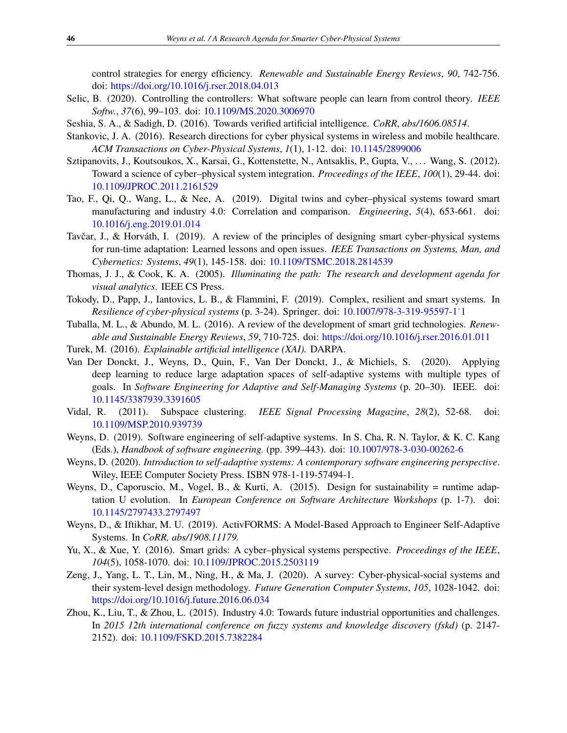control strategies for energy efficiency. *Renewable and Sustainable Energy Reviews*, *90*, 742-756. doi: [https://doi.org/10.1016/j.rser.2018.04.013](http://dx.doi.org/https://doi.org/10.1016/j.rser.2018.04.013)

- <span id="page-19-7"></span>Selic, B. (2020). Controlling the controllers: What software people can learn from control theory. *IEEE Softw.*, *37*(6), 99–103. doi: [10.1109/MS.2020.3006970](http://dx.doi.org/10.1109/MS.2020.3006970)
- <span id="page-19-16"></span>Seshia, S. A., & Sadigh, D. (2016). Towards verified artificial intelligence. *CoRR*, *abs/1606.08514*.
- <span id="page-19-5"></span>Stankovic, J. A. (2016). Research directions for cyber physical systems in wireless and mobile healthcare. *ACM Transactions on Cyber-Physical Systems*, *1*(1), 1-12. doi: [10.1145/2899006](http://dx.doi.org/10.1145/2899006)
- <span id="page-19-8"></span>Sztipanovits, J., Koutsoukos, X., Karsai, G., Kottenstette, N., Antsaklis, P., Gupta, V., ... Wang, S. (2012). Toward a science of cyber–physical system integration. *Proceedings of the IEEE*, *100*(1), 29-44. doi: [10.1109/JPROC.2011.2161529](http://dx.doi.org/10.1109/JPROC.2011.2161529)
- <span id="page-19-12"></span>Tao, F., Qi, Q., Wang, L., & Nee, A. (2019). Digital twins and cyber–physical systems toward smart manufacturing and industry 4.0: Correlation and comparison. *Engineering*, *5*(4), 653-661. doi: [10.1016/j.eng.2019.01.014](http://dx.doi.org/10.1016/j.eng.2019.01.014)
- <span id="page-19-4"></span>Tavčar, J., & Horváth, I. (2019). A review of the principles of designing smart cyber-physical systems for run-time adaptation: Learned lessons and open issues. *IEEE Transactions on Systems, Man, and Cybernetics: Systems*, *49*(1), 145-158. doi: [10.1109/TSMC.2018.2814539](http://dx.doi.org/10.1109/TSMC.2018.2814539)
- <span id="page-19-10"></span>Thomas, J. J., & Cook, K. A. (2005). *Illuminating the path: The research and development agenda for visual analytics*. IEEE CS Press.
- <span id="page-19-11"></span>Tokody, D., Papp, J., Iantovics, L. B., & Flammini, F. (2019). Complex, resilient and smart systems. In *Resilience of cyber-physical systems* (p. 3-24). Springer. doi: [10.1007/978-3-319-95597-1˙1](http://dx.doi.org/10.1007/978-3-319-95597-1_1)
- <span id="page-19-1"></span>Tuballa, M. L., & Abundo, M. L. (2016). A review of the development of smart grid technologies. *Renewable and Sustainable Energy Reviews*, *59*, 710-725. doi: [https://doi.org/10.1016/j.rser.2016.01.011](http://dx.doi.org/https://doi.org/10.1016/j.rser.2016.01.011)
- <span id="page-19-17"></span>Turek, M. (2016). *Explainable artificial intelligence (XAI).* DARPA.
- <span id="page-19-14"></span>Van Der Donckt, J., Weyns, D., Quin, F., Van Der Donckt, J., & Michiels, S. (2020). Applying deep learning to reduce large adaptation spaces of self-adaptive systems with multiple types of goals. In *Software Engineering for Adaptive and Self-Managing Systems* (p. 20–30). IEEE. doi: [10.1145/3387939.3391605](http://dx.doi.org/10.1145/3387939.3391605)
- <span id="page-19-18"></span>Vidal, R. (2011). Subspace clustering. *IEEE Signal Processing Magazine*, *28*(2), 52-68. doi: [10.1109/MSP.2010.939739](http://dx.doi.org/10.1109/MSP.2010.939739)
- <span id="page-19-13"></span>Weyns, D. (2019). Software engineering of self-adaptive systems. In S. Cha, R. N. Taylor, & K. C. Kang (Eds.), *Handbook of software engineering.* (pp. 399–443). doi: [10.1007/978-3-030-00262-6](http://dx.doi.org/10.1007/978-3-030-00262-6)
- <span id="page-19-9"></span>Weyns, D. (2020). *Introduction to self-adaptive systems: A contemporary software engineering perspective*. Wiley, IEEE Computer Society Press. ISBN 978-1-119-57494-1.
- <span id="page-19-6"></span>Weyns, D., Caporuscio, M., Vogel, B., & Kurti, A. (2015). Design for sustainability = runtime adaptation U evolution. In *European Conference on Software Architecture Workshops* (p. 1-7). doi: [10.1145/2797433.2797497](http://dx.doi.org/10.1145/2797433.2797497)
- <span id="page-19-15"></span>Weyns, D., & Iftikhar, M. U. (2019). ActivFORMS: A Model-Based Approach to Engineer Self-Adaptive Systems. In *CoRR, abs/1908.11179.*
- <span id="page-19-3"></span>Yu, X., & Xue, Y. (2016). Smart grids: A cyber–physical systems perspective. *Proceedings of the IEEE*, *104*(5), 1058-1070. doi: [10.1109/JPROC.2015.2503119](http://dx.doi.org/10.1109/JPROC.2015.2503119)
- <span id="page-19-0"></span>Zeng, J., Yang, L. T., Lin, M., Ning, H., & Ma, J. (2020). A survey: Cyber-physical-social systems and their system-level design methodology. *Future Generation Computer Systems*, *105*, 1028-1042. doi: [https://doi.org/10.1016/j.future.2016.06.034](http://dx.doi.org/https://doi.org/10.1016/j.future.2016.06.034)
- <span id="page-19-2"></span>Zhou, K., Liu, T., & Zhou, L. (2015). Industry 4.0: Towards future industrial opportunities and challenges. In *2015 12th international conference on fuzzy systems and knowledge discovery (fskd)* (p. 2147- 2152). doi: [10.1109/FSKD.2015.7382284](http://dx.doi.org/10.1109/FSKD.2015.7382284)